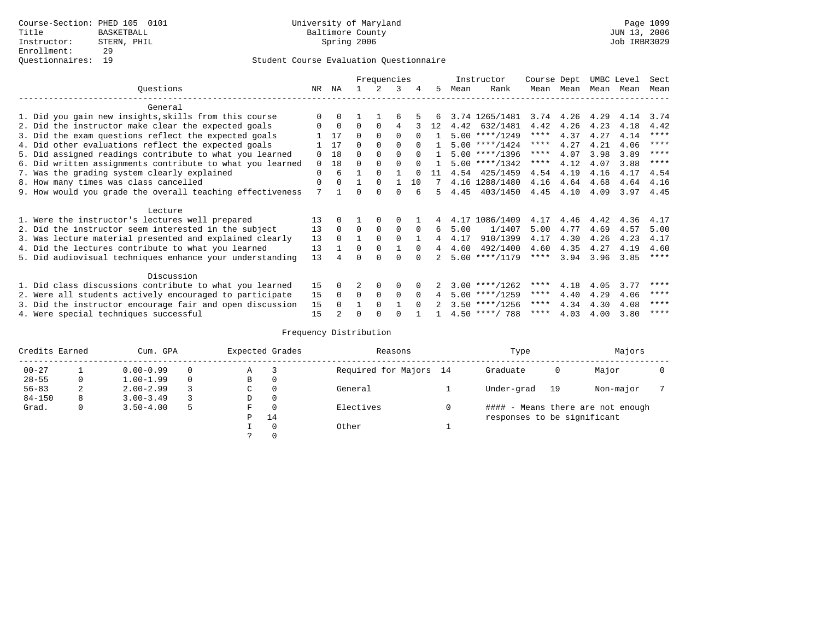|                                                           |          |          |          | Frequencies |             |          |                |      | Instructor       | Course Dept |           | UMBC Level |      | Sect        |
|-----------------------------------------------------------|----------|----------|----------|-------------|-------------|----------|----------------|------|------------------|-------------|-----------|------------|------|-------------|
| Questions                                                 | NR       | ΝA       |          |             | 3           | 4        | 5.             | Mean | Rank             | Mean        | Mean      | Mean       | Mean | Mean        |
| General                                                   |          |          |          |             |             |          |                |      |                  |             |           |            |      |             |
| 1. Did you gain new insights, skills from this course     | $\Omega$ | $\Omega$ |          |             | б           |          |                |      | 3.74 1265/1481   |             | 3.74 4.26 | 4.29       | 4.14 | 3.74        |
| 2. Did the instructor make clear the expected goals       | O        | $\Omega$ | $\Omega$ | $\Omega$    | 4           |          | 12             | 4.42 | 632/1481         | 4.42        | 4.26      | 4.23       | 4.18 | 4.42        |
| 3. Did the exam questions reflect the expected goals      |          | 17       | $\Omega$ | $\Omega$    | $\Omega$    | $\Omega$ |                |      | $5.00$ ****/1249 | ****        | 4.37      | 4.27       | 4.14 | $***$ * * * |
| 4. Did other evaluations reflect the expected goals       |          | 17       | $\Omega$ | $\Omega$    | $\Omega$    |          |                |      | $5.00$ ****/1424 | $***$ * * * | 4.27      | 4.21       | 4.06 | ****        |
| 5. Did assigned readings contribute to what you learned   | $\Omega$ | 18       | $\Omega$ | $\Omega$    | $\Omega$    | $\Omega$ |                |      | $5.00$ ****/1396 | ****        | 4.07      | 3.98       | 3.89 | ****        |
| 6. Did written assignments contribute to what you learned | $\Omega$ | 18       | $\Omega$ | $\Omega$    |             | $\cap$   |                |      | $5.00$ ****/1342 | $***$ * *   | 4.12      | 4.07       | 3.88 | $* * * *$   |
| 7. Was the grading system clearly explained               | $\Omega$ | 6        |          | $\Omega$    |             |          |                |      | 4.54 425/1459    | 4.54        | 4.19      | 4.16       | 4.17 | 4.54        |
| 8. How many times was class cancelled                     | 0        | $\Omega$ |          | $\Omega$    |             | 10       |                |      | 4.16 1288/1480   | 4.16        | 4.64      | 4.68       | 4.64 | 4.16        |
| 9. How would you grade the overall teaching effectiveness | 7        |          | U        | $\cap$      | $\cap$      |          | 5.             | 4.45 | 403/1450         | 4.45        | 4.10      | 4.09       | 3.97 | 4.45        |
|                                                           |          |          |          |             |             |          |                |      |                  |             |           |            |      |             |
| Lecture                                                   |          |          |          |             |             |          |                |      |                  |             |           |            |      |             |
| 1. Were the instructor's lectures well prepared           | 13       |          |          | $\Omega$    | $\Omega$    |          |                |      | 4.17 1086/1409   | 4.17        | 4.46      | 4.42       | 4.36 | 4.17        |
| 2. Did the instructor seem interested in the subject      | 13       | $\Omega$ | $\Omega$ | $\mathbf 0$ | $\mathbf 0$ | $\Omega$ | 6              | 5.00 | 1/1407           | 5.00        | 4.77      | 4.69       | 4.57 | 5.00        |
| 3. Was lecture material presented and explained clearly   | 13       | $\Omega$ |          | $\Omega$    | $\Omega$    |          | 4              | 4.17 | 910/1399         | 4.17        | 4.30      | 4.26       | 4.23 | 4.17        |
| 4. Did the lectures contribute to what you learned        | 13       |          | $\Omega$ | $\Omega$    |             | $\Omega$ | $\overline{4}$ | 4.60 | 492/1400         | 4.60        | 4.35      | 4.27       | 4.19 | 4.60        |
| 5. Did audiovisual techniques enhance your understanding  | 13       |          |          |             |             |          |                |      | $5.00$ ****/1179 | $***$ * * * | 3.94      | 3.96       | 3.85 | $* * * * *$ |
| Discussion                                                |          |          |          |             |             |          |                |      |                  |             |           |            |      |             |
| 1. Did class discussions contribute to what you learned   | 15       | $\Omega$ |          | $\Omega$    | $\Omega$    |          |                |      | $3.00$ ****/1262 | ****        | 4.18      | 4.05       | 3.77 | ****        |
| 2. Were all students actively encouraged to participate   | 15       | $\Omega$ | $\Omega$ | $\mathbf 0$ | $\Omega$    | $\Omega$ |                |      | $5.00$ ****/1259 | $***$ * * * | 4.40      | 4.29       | 4.06 | $* * * * *$ |
| 3. Did the instructor encourage fair and open discussion  | 15       | $\Omega$ |          | $\Omega$    |             | $\Omega$ |                |      | $3.50$ ****/1256 | ****        | 4.34      | 4.30       | 4.08 | ****        |
| 4. Were special techniques successful                     | 15       |          | U        |             |             |          |                |      | $4.50$ ****/ 788 | ****        | 4.03      | 4.00       | 3.80 | ****        |

| Credits Earned |   | Cum. GPA      |          |    | Expected Grades | Reasons                | Type                        |    | Majors                            |  |
|----------------|---|---------------|----------|----|-----------------|------------------------|-----------------------------|----|-----------------------------------|--|
| $00 - 27$      |   | $0.00 - 0.99$ |          | Α  |                 | Required for Majors 14 | Graduate                    | 0  | Major                             |  |
| $28 - 55$      | 0 | $1.00 - 1.99$ | $\Omega$ | В  | 0               |                        |                             |    |                                   |  |
| $56 - 83$      | 2 | $2.00 - 2.99$ |          | C. | $\Omega$        | General                | Under-grad                  | 19 | Non-major                         |  |
| $84 - 150$     | 8 | $3.00 - 3.49$ |          | D  | 0               |                        |                             |    |                                   |  |
| Grad.          | 0 | $3.50 - 4.00$ |          | F  | $\Omega$        | Electives              |                             |    | #### - Means there are not enough |  |
|                |   |               |          | P  | 14              |                        | responses to be significant |    |                                   |  |
|                |   |               |          |    | $\Omega$        | Other                  |                             |    |                                   |  |
|                |   |               |          |    |                 |                        |                             |    |                                   |  |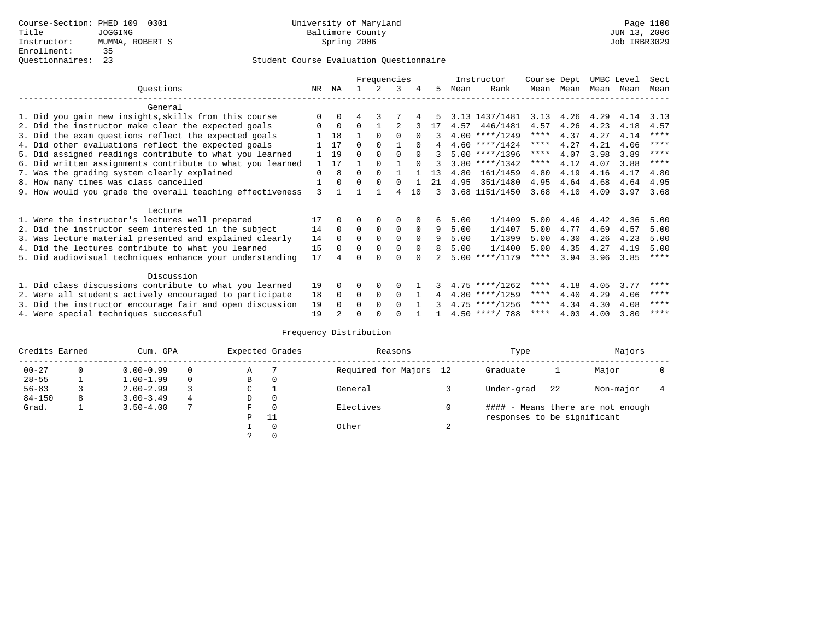|                                                           |              |          |          | Frequencies |             |          |    |      | Instructor       | Course Dept |                   | UMBC Level |      | Sect        |
|-----------------------------------------------------------|--------------|----------|----------|-------------|-------------|----------|----|------|------------------|-------------|-------------------|------------|------|-------------|
| Ouestions                                                 | NR           | ΝA       |          | 2           | 3           | 4        | 5. | Mean | Rank             |             | Mean Mean         | Mean       | Mean | Mean        |
| General                                                   |              |          |          |             |             |          |    |      |                  |             |                   |            |      |             |
| 1. Did you gain new insights, skills from this course     | $\Omega$     | $\Omega$ | 4        | 3           |             |          | 5. |      | 3.13 1437/1481   |             | $3.13 \quad 4.26$ | 4.29       | 4.14 | 3.13        |
| 2. Did the instructor make clear the expected goals       | $\Omega$     | $\Omega$ | $\Omega$ |             |             |          | 17 |      | 4.57 446/1481    | 4.57        | 4.26              | 4.23       | 4.18 | 4.57        |
| 3. Did the exam questions reflect the expected goals      |              | 18       |          | $\Omega$    | $\Omega$    | $\Omega$ | 3  |      | $4.00$ ****/1249 | ****        | 4.37              | 4.27       | 4.14 | $***$ * * * |
| 4. Did other evaluations reflect the expected goals       |              | 17       | $\Omega$ | $\Omega$    |             | $\Omega$ | 4  |      | $4.60$ ****/1424 | $***$ * *   | 4.27              | 4.21       | 4.06 | $* * * *$   |
| 5. Did assigned readings contribute to what you learned   |              | 19       | $\Omega$ | $\Omega$    |             | $\Omega$ |    |      | $5.00$ ****/1396 | $***$ * *   | 4.07              | 3.98       | 3.89 | $* * * * *$ |
| 6. Did written assignments contribute to what you learned | $\mathbf{1}$ | 17       |          | $\Omega$    |             | $\Omega$ | 3  |      | $3.80$ ****/1342 | $***$ * * * | 4.12              | 4.07       | 3.88 | $* * * * *$ |
| 7. Was the grading system clearly explained               | $\Omega$     | 8        | $\Omega$ | $\Omega$    |             |          | 13 | 4.80 | 161/1459         | 4.80        | 4.19              | 4.16       | 4.17 | 4.80        |
| 8. How many times was class cancelled                     |              | $\Omega$ | $\Omega$ | $\Omega$    | $\Omega$    |          | 21 | 4.95 | 351/1480         | 4.95        | 4.64              | 4.68       | 4.64 | 4.95        |
| 9. How would you grade the overall teaching effectiveness | 3            |          |          |             | 4           | 10       | 3  |      | 3.68 1151/1450   | 3.68        | 4.10              | 4.09       | 3.97 | 3.68        |
| Lecture                                                   |              |          |          |             |             |          |    |      |                  |             |                   |            |      |             |
| 1. Were the instructor's lectures well prepared           | 17           |          | 0        | $\Omega$    | 0           |          | 6  | 5.00 | 1/1409           | 5.00        | 4.46              | 4.42       | 4.36 | 5.00        |
| 2. Did the instructor seem interested in the subject      | 14           | $\Omega$ | $\Omega$ | 0           | $\mathbf 0$ | $\Omega$ | 9  | 5.00 | 1/1407           | 5.00        | 4.77              | 4.69       | 4.57 | 5.00        |
| 3. Was lecture material presented and explained clearly   | 14           | $\Omega$ | $\Omega$ | $\Omega$    | $\Omega$    | $\Omega$ | 9  | 5.00 | 1/1399           | 5.00        | 4.30              | 4.26       | 4.23 | 5.00        |
| 4. Did the lectures contribute to what you learned        | 15           | $\Omega$ | $\Omega$ | $\Omega$    | $\Omega$    | $\Omega$ | 8  | 5.00 | 1/1400           | 5.00        | 4.35              | 4.27       | 4.19 | 5.00        |
| 5. Did audiovisual techniques enhance your understanding  | 17           |          | U        | ∩           | $\cap$      |          |    |      | $5.00$ ****/1179 | ****        | 3.94              | 3.96       | 3.85 | ****        |
|                                                           |              |          |          |             |             |          |    |      |                  |             |                   |            |      |             |
| Discussion                                                |              |          |          |             |             |          |    |      |                  |             |                   |            |      |             |
| 1. Did class discussions contribute to what you learned   | 19           | $\Omega$ | $\Omega$ | $\Omega$    | $\Omega$    |          |    |      | $4.75$ ****/1262 | ****        | 4.18              | 4.05       | 3.77 | ****        |
| 2. Were all students actively encouraged to participate   | 18           | $\Omega$ | $\Omega$ | $\Omega$    | $\Omega$    |          | 4  |      | $4.80$ ****/1259 | $***$ * *   | 4.40              | 4.29       | 4.06 | ****        |
| 3. Did the instructor encourage fair and open discussion  | 19           | $\Omega$ | $\Omega$ | $\Omega$    | $\Omega$    |          | 3  |      | $4.75$ ****/1256 | $***$ * *   | 4.34              | 4.30       | 4.08 | ****        |
| 4. Were special techniques successful                     | 19           |          | U        | $\cap$      | U           |          |    |      | $4.50$ ****/ 788 | ****        | 4.03              | 4.00       | 3.80 | ****        |

| Credits Earned |   | Cum. GPA      |          |   | Expected Grades | Reasons                |        | Type                        |    | Majors                            |  |
|----------------|---|---------------|----------|---|-----------------|------------------------|--------|-----------------------------|----|-----------------------------------|--|
| $00 - 27$      |   | $0.00 - 0.99$ |          | Α |                 | Required for Majors 12 |        | Graduate                    |    | Major                             |  |
| $28 - 55$      |   | $1.00 - 1.99$ | $\Omega$ | В | 0               |                        |        |                             |    |                                   |  |
| $56 - 83$      |   | $2.00 - 2.99$ |          | С |                 | General                |        | Under-grad                  | 22 | Non-major                         |  |
| $84 - 150$     | 8 | $3.00 - 3.49$ | 4        | D | 0               |                        |        |                             |    |                                   |  |
| Grad.          |   | $3.50 - 4.00$ |          | F | $\Omega$        | Electives              |        |                             |    | #### - Means there are not enough |  |
|                |   |               |          | Ρ | -11             |                        |        | responses to be significant |    |                                   |  |
|                |   |               |          |   | $\Omega$        | Other                  | $\sim$ |                             |    |                                   |  |
|                |   |               |          |   |                 |                        |        |                             |    |                                   |  |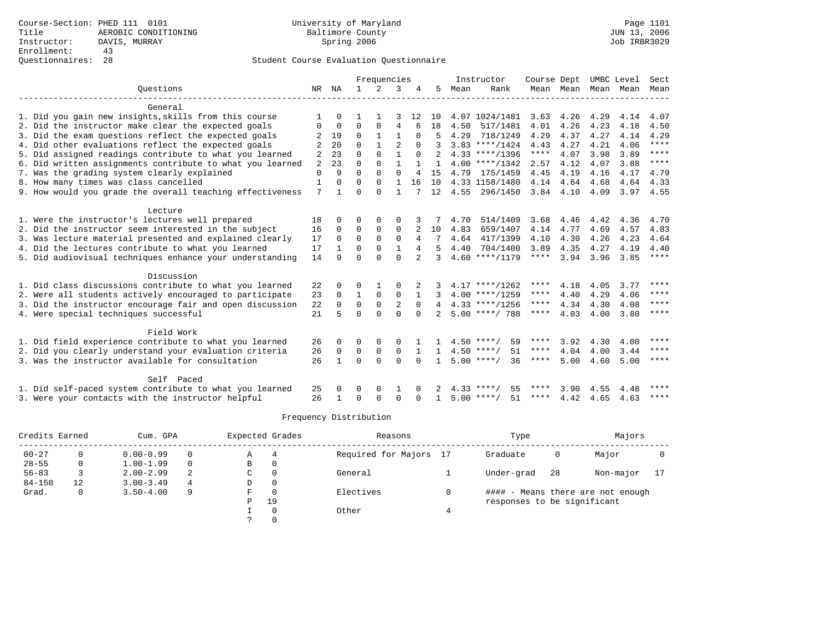|                                                           |     |              |              | Frequencies  |              |                |              |      | Instructor         | Course Dept |      |      | UMBC Level          | Sect        |
|-----------------------------------------------------------|-----|--------------|--------------|--------------|--------------|----------------|--------------|------|--------------------|-------------|------|------|---------------------|-------------|
| Ouestions                                                 |     | NR NA        | $\mathbf{1}$ | 2            | 3            |                | .5           | Mean | Rank               |             |      |      | Mean Mean Mean Mean | Mean        |
| General                                                   |     |              |              |              |              |                |              |      |                    |             |      |      |                     |             |
| 1. Did you gain new insights, skills from this course     |     | $\Omega$     |              |              |              | 12             | 10           |      | 4.07 1024/1481     | 3.63        | 4.26 | 4.29 | 4.14                | 4.07        |
| 2. Did the instructor make clear the expected goals       | 0   | $\mathbf 0$  | $\Omega$     | 0            | 4            | 6              | 18           | 4.50 | 517/1481           | 4.01        | 4.26 | 4.23 | 4.18                | 4.50        |
| 3. Did the exam questions reflect the expected goals      |     | 19           | 0            | $\mathbf{1}$ | $\mathbf{1}$ | 0              | 5            | 4.29 | 718/1249           | 4.29        | 4.37 | 4.27 | 4.14                | 4.29        |
| 4. Did other evaluations reflect the expected goals       |     | 20           | $\Omega$     | $\mathbf{1}$ | 2            | $\Omega$       | 3            |      | $3.83$ ****/1424   | 4.43        | 4.27 | 4.21 | 4.06                | $***$ *     |
| 5. Did assigned readings contribute to what you learned   | 2   | 23           | $\Omega$     | $\Omega$     | $\mathbf{1}$ | $\Omega$       | 2            |      | $4.33$ ****/1396   | $***$       | 4.07 | 3.98 | 3.89                | $***$ *     |
| 6. Did written assignments contribute to what you learned | 2   | 23           | $\Omega$     | $\Omega$     | $\mathbf{1}$ |                | $\mathbf{1}$ |      | $4.00$ ****/1342   | 2.57        | 4.12 | 4.07 | 3.88                | $***$ *     |
| 7. Was the grading system clearly explained               | 0   | 9            | $\Omega$     | $\Omega$     | $\Omega$     | 4              | 15           |      | 4.79 175/1459      | 4.45        | 4.19 | 4.16 | 4.17                | 4.79        |
| 8. How many times was class cancelled                     | 1   | $\Omega$     | $\Omega$     | $\Omega$     | $\mathbf{1}$ | 16             | 10           |      | 4.33 1158/1480     | 4.14        | 4.64 | 4.68 | 4.64                | 4.33        |
| 9. How would you grade the overall teaching effectiveness | 7   | $\mathbf{1}$ | $\Omega$     | $\Omega$     | 1            |                | 12           |      | 4.55 296/1450      | $3.84$ 4.10 |      | 4.09 |                     | 3.97 4.55   |
| Lecture                                                   |     |              |              |              |              |                |              |      |                    |             |      |      |                     |             |
| 1. Were the instructor's lectures well prepared           | 18  | 0            | 0            | $\Omega$     | $\Omega$     |                |              | 4.70 | 514/1409           | 3.68        | 4.46 | 4.42 | 4.36                | 4.70        |
| 2. Did the instructor seem interested in the subject      | 16  | $\Omega$     | $\Omega$     | $\Omega$     | 0            |                | 10           | 4.83 | 659/1407           | 4.14        | 4.77 | 4.69 | 4.57                | 4.83        |
| 3. Was lecture material presented and explained clearly   | 17  | $\Omega$     | 0            | $\Omega$     | 0            | 4              |              | 4.64 | 417/1399           | 4.10        | 4.30 | 4.26 | 4.23                | 4.64        |
| 4. Did the lectures contribute to what you learned        | 17  | $\mathbf{1}$ | $\Omega$     | $\Omega$     | 1            | 4              | 5            | 4.40 | 704/1400           | 3.89        | 4.35 | 4.27 | 4.19                | 4.40        |
| 5. Did audiovisual techniques enhance your understanding  | 14  | q            | $\cap$       | $\cap$       | $\Omega$     | $\mathfrak{D}$ | 3            |      | $4.60$ ****/1179   | $***$ * * * | 3.94 | 3.96 | 3.85                | ****        |
| Discussion                                                |     |              |              |              |              |                |              |      |                    |             |      |      |                     |             |
| 1. Did class discussions contribute to what you learned   | 22  | $\Omega$     | U            | -1.          | 0            |                |              |      | $4.17$ ****/1262   | ****        | 4.18 | 4.05 | 3.77                | ****        |
| 2. Were all students actively encouraged to participate   | 23  | $\Omega$     | $\mathbf{1}$ | $\mathbf 0$  | $\mathbf 0$  | $\mathbf{1}$   |              |      | $4.00$ ****/1259   | $***$ * *   | 4.40 | 4.29 | 4.06                | $***$       |
| 3. Did the instructor encourage fair and open discussion  | 22  | $\Omega$     | 0            | $\Omega$     | 2            | $\Omega$       |              |      | $4.33$ ****/1256   | $***$ * *   | 4.34 | 4.30 | 4.08                | $***$ * * * |
| 4. Were special techniques successful                     | 21  | 5            | $\Omega$     | $\Omega$     | $\Omega$     | $\Omega$       |              |      | $5.00$ ****/ 788   | $***$ * * * | 4.03 | 4.00 | 3.80                | ****        |
| Field Work                                                |     |              |              |              |              |                |              |      |                    |             |      |      |                     |             |
| 1. Did field experience contribute to what you learned    | 26  | $\Omega$     | 0            | 0            | $\Omega$     |                |              |      | 59<br>$4.50$ ****/ | ****        | 3.92 | 4.30 | 4.00                | ****        |
| 2. Did you clearly understand your evaluation criteria    | 26  | $\mathbf 0$  | $\Omega$     | 0            | $\Omega$     | $\mathbf{1}$   | $\mathbf{1}$ |      | 51<br>$4.50$ ****/ | ****        | 4.04 | 4.00 | 3.44                | $***$ * * * |
| 3. Was the instructor available for consultation          | 26  | $\mathbf{1}$ | $\Omega$     | $\Omega$     | $\Omega$     | $\Omega$       | $\mathbf{1}$ |      | $5.00$ ****/<br>36 | ****        | 5.00 | 4.60 | 5.00                | $***$ *     |
| Self Paced                                                |     |              |              |              |              |                |              |      |                    |             |      |      |                     |             |
| 1. Did self-paced system contribute to what you learned   | 25  |              | U            | $\Omega$     |              |                |              |      | $4.33***/$<br>55   | ****        | 3.90 | 4.55 | 4.48                | $***$ * * * |
| 3. Were your contacts with the instructor helpful         | 2.6 | $\mathbf{1}$ | U            | $\Omega$     | $\Omega$     | $\Omega$       | $\mathbf{1}$ |      | $5.00$ ****/<br>51 | ****        | 4.42 |      | $4.65$ $4.63$       | $***$ * * * |

| Credits Earned |          | Cum. GPA      |          |   | Expected Grades | Reasons                | Type                        |    | Majors                            |    |
|----------------|----------|---------------|----------|---|-----------------|------------------------|-----------------------------|----|-----------------------------------|----|
| $00 - 27$      |          | $0.00 - 0.99$ | $\Omega$ | Α | 4               | Required for Majors 17 | Graduate                    | 0  | Major                             |    |
| $28 - 55$      | $\Omega$ | $1.00 - 1.99$ | $\Omega$ | В | 0               |                        |                             |    |                                   |    |
| $56 - 83$      |          | $2.00 - 2.99$ | 2        | C | $\mathbf 0$     | General                | Under-grad                  | 28 | Non-major                         | 17 |
| $84 - 150$     | 12       | $3.00 - 3.49$ | 4        | D | 0               |                        |                             |    |                                   |    |
| Grad.          | 0        | $3.50 - 4.00$ | 9        | F | 0               | Electives              |                             |    | #### - Means there are not enough |    |
|                |          |               |          | Ρ | 19              |                        | responses to be significant |    |                                   |    |
|                |          |               |          |   | 0               | Other                  |                             |    |                                   |    |
|                |          |               |          |   | 0               |                        |                             |    |                                   |    |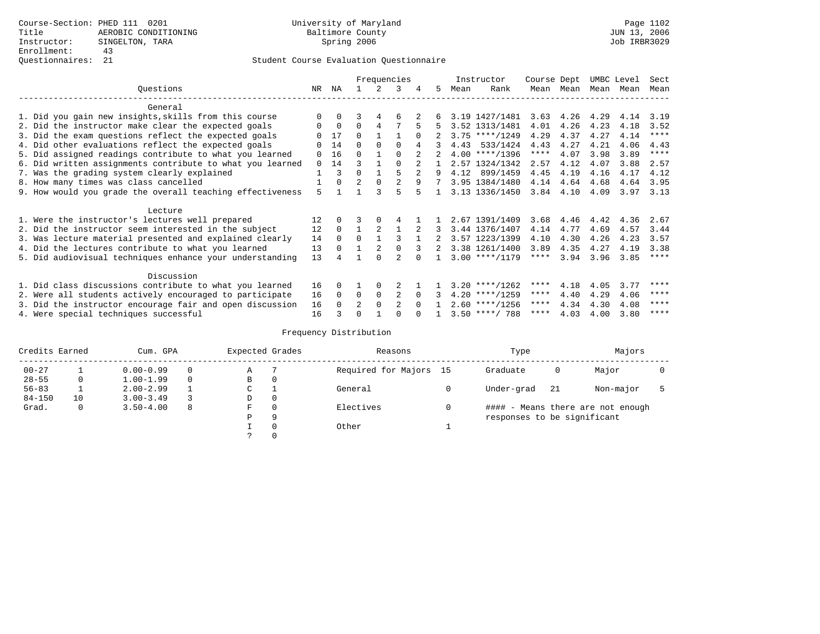|                                                           |              |             |                |             | Frequencies    |                |    |      | Instructor       | Course Dept |             | UMBC Level |           | Sect        |
|-----------------------------------------------------------|--------------|-------------|----------------|-------------|----------------|----------------|----|------|------------------|-------------|-------------|------------|-----------|-------------|
| Ouestions                                                 | NR           | ΝA          |                |             | 3              | 4              | 5. | Mean | Rank             | Mean        | Mean        |            | Mean Mean | Mean        |
| General                                                   |              |             |                |             |                |                |    |      |                  |             |             |            |           |             |
| 1. Did you gain new insights, skills from this course     | <sup>n</sup> | $\Omega$    | 3              | 4           | 6              |                |    |      | 3.19 1427/1481   | 3.63        | 4.26        | 4.29       | 4.14      | 3.19        |
| 2. Did the instructor make clear the expected goals       |              | $\mathbf 0$ | $\Omega$       | 4           |                | 5              | 5. |      | 3.52 1313/1481   | 4.01        | 4.26        | 4.23       | 4.18      | 3.52        |
| 3. Did the exam questions reflect the expected goals      |              | 17          | $\Omega$       |             |                |                |    |      | $3.75$ ****/1249 | 4.29        | 4.37        | 4.27       | 4.14      | $***$ * * * |
| 4. Did other evaluations reflect the expected goals       | <sup>n</sup> | 14          | $\Omega$       | $\Omega$    | 0              |                |    |      | 4.43 533/1424    | 4.43        | 4.27        | 4.21       | 4.06      | 4.43        |
| 5. Did assigned readings contribute to what you learned   | <sup>n</sup> | 16          | $\Omega$       |             | $\Omega$       | $\mathcal{L}$  |    |      | $4.00$ ****/1396 | $***$ * * * | 4.07        | 3.98       | 3.89      | $***$ * * * |
| 6. Did written assignments contribute to what you learned | $\Omega$     | 14          | 3              |             |                |                |    |      | 2.57 1324/1342   | 2.57        | 4.12        | 4.07       | 3.88      | 2.57        |
| 7. Was the grading system clearly explained               |              | ς           | $\Omega$       |             | 5              | $\overline{2}$ | 9  |      | 4.12 899/1459    | 4.45        | 4.19        | 4.16       | 4.17      | 4.12        |
| 8. How many times was class cancelled                     |              | $\Omega$    | $\overline{2}$ | $\Omega$    | $\overline{a}$ | 9              | 7  |      | 3.95 1384/1480   |             | 4.14 4.64   | 4.68       | 4.64      | 3.95        |
| 9. How would you grade the overall teaching effectiveness | 5            |             |                |             | 5              |                |    |      | 3.13 1336/1450   |             | $3.84$ 4.10 | 4.09       | 3.97      | 3.13        |
| Lecture                                                   |              |             |                |             |                |                |    |      |                  |             |             |            |           |             |
| 1. Were the instructor's lectures well prepared           | 12           |             |                |             |                |                |    |      | 2.67 1391/1409   | 3.68        | 4.46        | 4.42       | 4.36      | 2.67        |
| 2. Did the instructor seem interested in the subject      | 12           | $\Omega$    |                | 2           |                | 2              | 3  |      | 3.44 1376/1407   | 4.14        | 4.77        | 4.69       | 4.57      | 3.44        |
| 3. Was lecture material presented and explained clearly   | 14           | $\Omega$    | $\Omega$       |             | 3              |                |    |      | 3.57 1223/1399   | 4.10        | 4.30        | 4.26       | 4.23      | 3.57        |
| 4. Did the lectures contribute to what you learned        | 13           |             |                | 2           |                |                | 2  |      | 3.38 1261/1400   | 3.89        | 4.35        | 4.27       | 4.19      | 3.38        |
| 5. Did audiovisual techniques enhance your understanding  | 13           |             |                |             | $\mathfrak{D}$ |                |    |      | $3.00$ ****/1179 | ****        | 3.94        | 3.96       | 3.85      | ****        |
| Discussion                                                |              |             |                |             |                |                |    |      |                  |             |             |            |           |             |
| 1. Did class discussions contribute to what you learned   | 16           | 0           |                |             |                |                |    |      | $3.20$ ****/1262 | ****        | 4.18        | 4.05       | 3.77      | ****        |
| 2. Were all students actively encouraged to participate   | 16           | $\Omega$    | 0              | $\mathbf 0$ | 2              |                |    |      | $4.20$ ****/1259 | ****        | 4.40        | 4.29       | 4.06      | $* * * * *$ |
| 3. Did the instructor encourage fair and open discussion  | 16           | $\Omega$    | $\mathfrak{D}$ | $\Omega$    | 2              |                |    |      | $2.60$ ****/1256 | ****        | 4.34        | 4.30       | 4.08      | ****        |
| 4. Were special techniques successful                     | 16           |             | U              |             |                |                |    |      | $3.50$ ****/ 788 | ****        | 4.03        | 4.00       | 3.80      | ****        |

| Credits Earned |    | Cum. GPA      |          | Expected Grades |          | Reasons                | Type                        |     | Majors                            |  |
|----------------|----|---------------|----------|-----------------|----------|------------------------|-----------------------------|-----|-----------------------------------|--|
| $00 - 27$      |    | $0.00 - 0.99$ |          | Α               |          | Required for Majors 15 | Graduate                    | 0   | Major                             |  |
| $28 - 55$      | 0  | $1.00 - 1.99$ | $\Omega$ | В               | 0        |                        |                             |     |                                   |  |
| $56 - 83$      |    | $2.00 - 2.99$ |          | C               |          | General                | Under-grad                  | -21 | Non-major                         |  |
| $84 - 150$     | 10 | $3.00 - 3.49$ |          | D               | 0        |                        |                             |     |                                   |  |
| Grad.          | 0  | $3.50 - 4.00$ | -8       | F               | $\Omega$ | Electives              |                             |     | #### - Means there are not enough |  |
|                |    |               |          | Ρ               | 9        |                        | responses to be significant |     |                                   |  |
|                |    |               |          |                 | $\Omega$ | Other                  |                             |     |                                   |  |
|                |    |               |          |                 |          |                        |                             |     |                                   |  |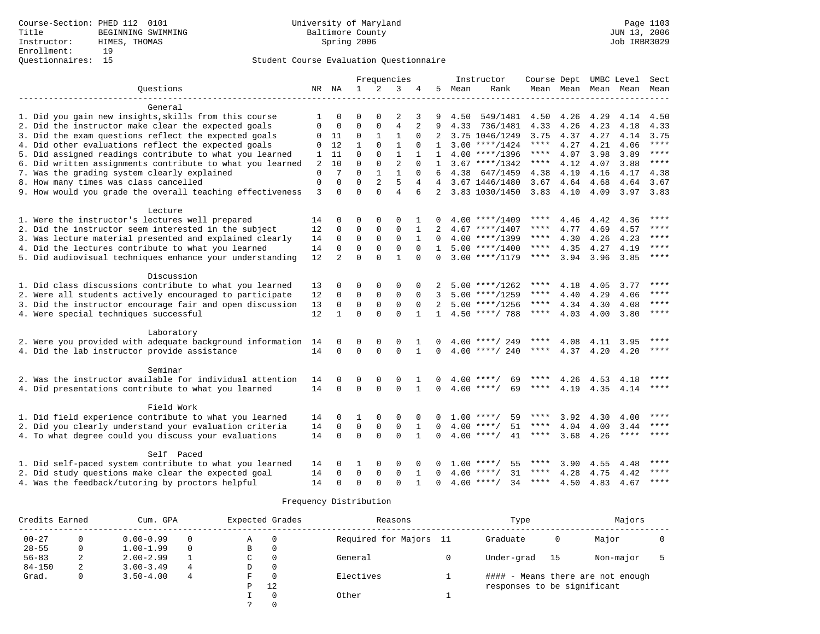|                                                            |             |                |                |                | Frequencies    |                |                |      | Instructor         | Course Dept UMBC Level |                     |      |             | Sect          |
|------------------------------------------------------------|-------------|----------------|----------------|----------------|----------------|----------------|----------------|------|--------------------|------------------------|---------------------|------|-------------|---------------|
| Ouestions                                                  |             | NR NA          | $\mathbf{1}$   | 2              | 3              | 4              | 5              | Mean | Rank               |                        | Mean Mean Mean Mean |      |             | Mean          |
|                                                            |             |                |                |                |                |                |                |      |                    |                        |                     |      |             |               |
| General                                                    |             |                |                |                |                |                |                |      |                    |                        |                     |      |             |               |
| 1. Did you gain new insights, skills from this course      | 1           | $\Omega$       | 0              | $\Omega$       | 2              | 3              | 9              | 4.50 | 549/1481           | 4.50                   | 4.26                | 4.29 | 4.14        | 4.50          |
| 2. Did the instructor make clear the expected goals        | $\Omega$    | $\Omega$       | $\Omega$       | $\Omega$       | $\overline{4}$ | $\overline{2}$ |                | 4.33 | 736/1481           | 4.33                   | 4.26                | 4.23 | 4.18        | 4.33          |
| 3. Did the exam questions reflect the expected goals       | 0           | 11             | 0              | 1              | $\mathbf{1}$   | $\Omega$       | 2              |      | 3.75 1046/1249     | 3.75                   | 4.37                | 4.27 | 4.14        | 3.75          |
| 4. Did other evaluations reflect the expected goals        | $\Omega$    | 12             | $\mathbf{1}$   | $\Omega$       | $\mathbf{1}$   | $\Omega$       | 1              |      | $3.00$ ****/1424   | ****                   | 4.27                | 4.21 | 4.06        | $***$         |
| 5. Did assigned readings contribute to what you learned    | 1           | 11             | $\Omega$       | $\Omega$       | $\mathbf{1}$   |                | $\mathbf{1}$   |      | $4.00$ ****/1396   | ****                   | 4.07                | 3.98 | 3.89        | ****          |
| 6. Did written assignments contribute to what you learned  | 2           | 10             | 0              | 0              | $\overline{c}$ | $\Omega$       |                |      | $3.67$ ****/1342   | ****                   | 4.12                | 4.07 | 3.88        | ****          |
| 7. Was the grading system clearly explained                | $\mathbf 0$ | 7              | $\Omega$       | $\mathbf{1}$   | $\mathbf{1}$   | $\Omega$       |                | 4.38 | 647/1459           | 4.38                   | 4.19                | 4.16 | 4.17        | 4.38          |
| 8. How many times was class cancelled                      | $\mathbf 0$ | $\Omega$       | $\Omega$       | $\overline{2}$ | 5              | 4              | $\overline{4}$ |      | 3.67 1446/1480     | 3.67                   | 4.64                | 4.68 | 4.64        | 3.67          |
| 9. How would you grade the overall teaching effectiveness  | 3           | $\Omega$       | $\Omega$       | $\Omega$       | $\overline{4}$ | 6              | $2^{\circ}$    |      | 3.83 1030/1450     |                        | $3.83$ 4.10         | 4.09 |             | $3.97$ $3.83$ |
|                                                            |             |                |                |                |                |                |                |      |                    |                        |                     |      |             |               |
| Lecture<br>1. Were the instructor's lectures well prepared | 14          | 0              | O              | $\Omega$       | $\Omega$       |                |                |      | $4.00$ ****/1409   | ****                   | 4.46                | 4.42 | 4.36        | ****          |
| 2. Did the instructor seem interested in the subject       | 12          | 0              | $\mathbf 0$    | 0              | 0              | 1              | 2              |      | $4.67$ ****/1407   | ****                   | 4.77                | 4.69 | 4.57        | ****          |
| 3. Was lecture material presented and explained clearly    | 14          | $\mathbf 0$    | $\mathbf 0$    | 0              | $\mathbf 0$    | $\mathbf{1}$   | $\Omega$       |      | $4.00$ ****/1399   | $***$ * * *            | 4.30                | 4.26 | 4.23        | ****          |
| 4. Did the lectures contribute to what you learned         | 14          | 0              | $\overline{0}$ | 0              | $\mathbf 0$    | $\mathbf 0$    | 1              |      | $5.00$ ****/1400   | ****                   | 4.35                | 4.27 | 4.19        | $***$         |
|                                                            | 12          | $\overline{2}$ | $\Omega$       | $\Omega$       | $\mathbf{1}$   | $\Omega$       | $\Omega$       |      | $3.00$ ****/1179   | ****                   | 3.94                | 3.96 | 3.85        | ****          |
| 5. Did audiovisual techniques enhance your understanding   |             |                |                |                |                |                |                |      |                    |                        |                     |      |             |               |
| Discussion                                                 |             |                |                |                |                |                |                |      |                    |                        |                     |      |             |               |
| 1. Did class discussions contribute to what you learned    | 13          | 0              | O              | $\Omega$       | $\Omega$       |                |                |      | $5.00$ ****/1262   | ****                   | 4.18                | 4.05 | 3.77        | ****          |
| 2. Were all students actively encouraged to participate    | 12          | 0              | $\mathbf 0$    | $\mathbf 0$    | $\mathbf 0$    | $\mathbf 0$    |                |      | $5.00$ ****/1259   | ****                   | 4.40                | 4.29 | 4.06        | ****          |
| 3. Did the instructor encourage fair and open discussion   | 13          | $\mathbf 0$    | $\mathbf 0$    | 0              | $\mathbf 0$    | $\mathbf 0$    | 2              |      | $5.00$ ****/1256   | $***$ * * *            | 4.34                | 4.30 | 4.08        | ****          |
| 4. Were special techniques successful                      | 12          | $\mathbf{1}$   | $\Omega$       | $\Omega$       | $\Omega$       | $\mathbf{1}$   | $\mathbf{1}$   |      | $4.50$ ****/ 788   | ****                   | 4.03                | 4.00 | 3.80        | $* * * * *$   |
|                                                            |             |                |                |                |                |                |                |      |                    |                        |                     |      |             |               |
| Laboratory                                                 |             |                |                |                |                |                |                |      |                    |                        |                     |      |             |               |
| 2. Were you provided with adequate background information  | 14          | 0              | 0              | 0              | $\mathbf 0$    |                | 0              |      | $4.00$ ****/ 249   | ****                   | 4.08                | 4.11 | 3.95        | ****          |
| 4. Did the lab instructor provide assistance               | 14          | $\Omega$       | $\Omega$       | $\Omega$       | $\Omega$       | $\mathbf{1}$   | $\Omega$       |      | $4.00$ ****/ 240   | ****                   | 4.37                | 4.20 | 4.20        | $***$         |
|                                                            |             |                |                |                |                |                |                |      |                    |                        |                     |      |             |               |
| Seminar                                                    |             |                |                |                |                |                |                |      |                    |                        |                     |      |             |               |
| 2. Was the instructor available for individual attention   | 14          | $\Omega$       | $\Omega$       | $\Omega$       | $\Omega$       |                |                |      | $4.00$ ****/<br>69 | ****                   | 4.26                | 4.53 | 4.18        | ****          |
| 4. Did presentations contribute to what you learned        | 14          | $\Omega$       | $\Omega$       | $\Omega$       | $\Omega$       | $\mathbf{1}$   | $\Omega$       |      | $4.00$ ****/<br>69 | $***$ * * *            | 4.19                | 4.35 | 4.14        | $***$ * * *   |
| Field Work                                                 |             |                |                |                |                |                |                |      |                    |                        |                     |      |             |               |
| 1. Did field experience contribute to what you learned     | 14          | 0              | 1              | 0              | $\Omega$       | $\Omega$       |                | 1.00 | $***$ /<br>59      |                        | 3.92                | 4.30 | 4.00        | ****          |
| 2. Did you clearly understand your evaluation criteria     | 14          | 0              | $\mathbf 0$    | 0              | $\mathsf 0$    | 1              | $\Omega$       | 4.00 | 51<br>$* * * * /$  | ****                   | 4.04                | 4.00 | 3.44        | ****          |
| 4. To what degree could you discuss your evaluations       | 14          | $\Omega$       | $\mathbf 0$    | $\Omega$       | $\Omega$       | $\mathbf{1}$   | $\Omega$       |      | $4.00$ ****/<br>41 | $***$ * * *            | 3.68                | 4.26 | $***$ * * * | $* * * *$     |
|                                                            |             |                |                |                |                |                |                |      |                    |                        |                     |      |             |               |
| Self Paced                                                 |             |                |                |                |                |                |                |      |                    |                        |                     |      |             |               |
| 1. Did self-paced system contribute to what you learned    | 14          | 0              |                | $\Omega$       | $\Omega$       |                |                | 1.00 | ****/<br>55        | ****                   | 3.90                | 4.55 | 4.48        | ****          |
| 2. Did study questions make clear the expected goal        | 14          | 0              | $\Omega$       | $\Omega$       | $\Omega$       |                |                |      | $4.00$ ****/<br>31 | ****                   | 4.28                | 4.75 | 4.42        | $***$         |
| 4. Was the feedback/tutoring by proctors helpful           | 14          | $\cap$         | $\Omega$       | $\cap$         | $\cap$         |                | $\cap$         |      | $4.00$ ****/<br>34 | ****                   | 4.50                | 4.83 | 4.67        | ****          |

| Credits Earned |              | Cum. GPA      |          |   | Expected Grades | Reasons                | Type                        |    | Majors                            |  |
|----------------|--------------|---------------|----------|---|-----------------|------------------------|-----------------------------|----|-----------------------------------|--|
| $00 - 27$      |              | $0.00 - 0.99$ |          | Α | 0               | Required for Majors 11 | Graduate                    | 0  | Major                             |  |
| $28 - 55$      | 0            | $1.00 - 1.99$ | $\Omega$ | В | 0               |                        |                             |    |                                   |  |
| $56 - 83$      | 2            | $2.00 - 2.99$ |          |   | $\Omega$        | General                | Under-grad                  | 15 | Non-major                         |  |
| $84 - 150$     | 2            | $3.00 - 3.49$ | 4        | D | 0               |                        |                             |    |                                   |  |
| Grad.          | $\mathbf{0}$ | $3.50 - 4.00$ | 4        | F | $\Omega$        | Electives              |                             |    | #### - Means there are not enough |  |
|                |              |               |          | P | 12              |                        | responses to be significant |    |                                   |  |
|                |              |               |          |   | $\Omega$        | Other                  |                             |    |                                   |  |
|                |              |               |          |   |                 |                        |                             |    |                                   |  |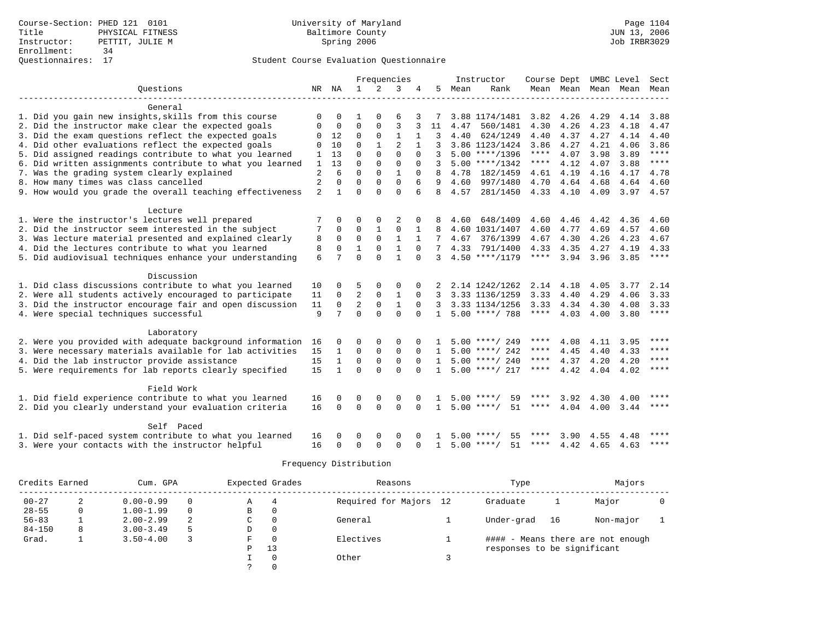|                                                           |                |              |                | Frequencies    |                |          |              |      | Instructor         | Course Dept |           | UMBC Level |           | Sect        |
|-----------------------------------------------------------|----------------|--------------|----------------|----------------|----------------|----------|--------------|------|--------------------|-------------|-----------|------------|-----------|-------------|
| Ouestions                                                 |                | NR NA        | $\mathbf{1}$   | $\overline{2}$ | 3              | 4        | 5            | Mean | Rank               |             | Mean Mean |            | Mean Mean | Mean        |
|                                                           |                |              |                |                |                |          |              |      |                    |             |           |            |           |             |
| General                                                   |                |              |                |                |                |          |              |      |                    |             |           |            |           |             |
| 1. Did you gain new insights, skills from this course     | $\Omega$       | $\Omega$     | 1              | $\Omega$       | 6              |          |              |      | 3.88 1174/1481     | 3.82        | 4.26      | 4.29       | 4.14      | 3.88        |
| 2. Did the instructor make clear the expected goals       | 0              | 0            | 0              | 0              | $\overline{3}$ |          | 11           | 4.47 | 560/1481           | 4.30        | 4.26      | 4.23       | 4.18      | 4.47        |
| 3. Did the exam questions reflect the expected goals      | 0              | 12           | $\mathbf 0$    | $\mathbf 0$    | $\mathbf{1}$   |          | 3            | 4.40 | 624/1249           | 4.40        | 4.37      | 4.27       | 4.14      | 4.40        |
| 4. Did other evaluations reflect the expected goals       | $\Omega$       | 10           | $\Omega$       | $\mathbf{1}$   | $\overline{2}$ |          | 3            |      | 3.86 1123/1424     | 3.86        | 4.27      | 4.21       | 4.06      | 3.86        |
| 5. Did assigned readings contribute to what you learned   | 1              | 13           | $\Omega$       | $\Omega$       | $\Omega$       | $\Omega$ | 3            |      | $5.00$ ****/1396   | $***$ * * * | 4.07      | 3.98       | 3.89      | $***$       |
| 6. Did written assignments contribute to what you learned | $\mathbf{1}$   | 13           | $\Omega$       | $\Omega$       | $\Omega$       | $\Omega$ | ζ            |      | $5.00$ ****/1342   | ****        | 4.12      | 4.07       | 3.88      | ****        |
| 7. Was the grading system clearly explained               | $\overline{2}$ | 6            | $\Omega$       | $\Omega$       | $\mathbf{1}$   | $\Omega$ | R            | 4.78 | 182/1459           | 4.61        | 4.19      | 4.16       | 4.17      | 4.78        |
| 8. How many times was class cancelled                     | $\overline{2}$ | $\Omega$     | $\Omega$       | $\Omega$       | $\Omega$       | 6        | 9            | 4.60 | 997/1480           | 4.70        | 4.64      | 4.68       | 4.64      | 4.60        |
| 9. How would you grade the overall teaching effectiveness | 2              | $\mathbf{1}$ | $\cap$         | $\Omega$       | $\Omega$       | 6        | 8            | 4.57 | 281/1450           | 4.33 4.10   |           | 4.09       | 3.97 4.57 |             |
|                                                           |                |              |                |                |                |          |              |      |                    |             |           |            |           |             |
| Lecture                                                   |                |              |                |                |                |          |              |      |                    |             |           |            |           |             |
| 1. Were the instructor's lectures well prepared           |                | 0            | O              | 0              | 2              |          | 8            | 4.60 | 648/1409           | 4.60        | 4.46      | 4.42       | 4.36      | 4.60        |
| 2. Did the instructor seem interested in the subject      | 7              | $\Omega$     | $\Omega$       | $\mathbf{1}$   | $\Omega$       | 1        | 8            |      | 4.60 1031/1407     | 4.60        | 4.77      | 4.69       | 4.57      | 4.60        |
| 3. Was lecture material presented and explained clearly   | 8              | $\Omega$     | $\Omega$       | $\Omega$       | $\mathbf{1}$   |          |              | 4.67 | 376/1399           | 4.67        | 4.30      | 4.26       | 4.23      | 4.67        |
| 4. Did the lectures contribute to what you learned        | 8              | $\Omega$     | $\mathbf{1}$   | $\Omega$       | $\mathbf{1}$   | $\Omega$ |              |      | 4.33 791/1400      | 4.33        | 4.35      | 4.27       | 4.19      | 4.33        |
| 5. Did audiovisual techniques enhance your understanding  | 6              | 7            | $\cap$         | $\cap$         | $\mathbf{1}$   | $\cap$   | 3            |      | $4.50$ ****/1179   | ****        | 3.94      | 3.96       | 3.85      | ****        |
|                                                           |                |              |                |                |                |          |              |      |                    |             |           |            |           |             |
| Discussion                                                |                |              |                |                |                |          |              |      |                    |             |           |            |           |             |
| 1. Did class discussions contribute to what you learned   | 10             | 0            | 5              | 0              | $\Omega$       |          |              |      | 2.14 1242/1262     | 2.14        | 4.18      | 4.05       | 3.77      | 2.14        |
| 2. Were all students actively encouraged to participate   | 11             | $\mathbf 0$  | 2              | $\Omega$       | $\mathbf{1}$   | $\Omega$ | 3            |      | 3.33 1136/1259     | 3.33        | 4.40      | 4.29       | 4.06      | 3.33        |
| 3. Did the instructor encourage fair and open discussion  | 11             | $\Omega$     | $\overline{2}$ | $\Omega$       | $\mathbf{1}$   | $\Omega$ | 3            |      | 3.33 1134/1256     | 3.33        | 4.34      | 4.30       | 4.08      | 3.33        |
| 4. Were special techniques successful                     | 9              | 7            | $\Omega$       | $\Omega$       | $\Omega$       | $\Omega$ | $\mathbf{1}$ |      | $5.00$ ****/ 788   | $***$ * * * | 4.03      | 4.00       | 3.80      | $***$       |
|                                                           |                |              |                |                |                |          |              |      |                    |             |           |            |           |             |
| Laboratory                                                |                |              |                |                |                |          |              |      |                    |             |           |            |           |             |
| 2. Were you provided with adequate background information | 16             | 0            | 0              | $\Omega$       | $\mathbf 0$    |          |              |      | $5.00$ ****/ 249   | ****        | 4.08      | 4.11       | 3.95      | $***$       |
| 3. Were necessary materials available for lab activities  | 15             | $\mathbf{1}$ | 0              | 0              | $\mathbf 0$    | $\Omega$ | $\mathbf{1}$ |      | $5.00$ ****/ 242   | ****        | 4.45      | 4.40       | 4.33      | $***$       |
| 4. Did the lab instructor provide assistance              | 15             | $\mathbf{1}$ | $\Omega$       | $\Omega$       | $\Omega$       | $\Omega$ | $\mathbf{1}$ |      | $5.00$ ****/ 240   | ****        | 4.37      | 4.20       | 4.20      | ****        |
| 5. Were requirements for lab reports clearly specified    | 15             | $\mathbf{1}$ | $\Omega$       | $\Omega$       | $\Omega$       | $\cap$   | $\mathbf{1}$ |      | $5.00$ ****/ 217   | $***$ * * * | 4.42      | 4.04       | 4.02      | $* * * * *$ |
|                                                           |                |              |                |                |                |          |              |      |                    |             |           |            |           |             |
| Field Work                                                |                |              |                |                |                |          |              |      |                    |             |           |            |           |             |
| 1. Did field experience contribute to what you learned    | 16             | $\Omega$     | $\Omega$       | 0              | $\Omega$       | $\Omega$ |              | 5.00 | $***$ /<br>59      |             | 3.92      | 4.30       | 4.00      | ****        |
| 2. Did you clearly understand your evaluation criteria    | 16             | $\Omega$     | $\Omega$       | $\Omega$       | $\Omega$       | $\Omega$ | $\mathbf{1}$ |      | 51<br>$5.00$ ****/ | ****        | 4.04      | 4.00       | 3.44      | $***$ *     |
|                                                           |                |              |                |                |                |          |              |      |                    |             |           |            |           |             |
| Self Paced                                                |                |              |                |                |                |          |              |      |                    |             |           |            |           | ****        |
| 1. Did self-paced system contribute to what you learned   | 16             |              | 0              | 0              | 0              |          |              | 5.00 | ****/<br>55        | ****        | 3.90      | 4.55       | 4.48      |             |
| 3. Were your contacts with the instructor helpful         | 16             | 0            | $\Omega$       | $\Omega$       | $\Omega$       | $\Omega$ | 1            |      | $5.00$ ****/<br>51 | ****        | 4.42      | 4.65       | 4.63      | $***$ * * * |

| Credits Earned |   | Cum. GPA      |   |   | Expected Grades | Reasons                | Type                        |    | Majors                            |  |
|----------------|---|---------------|---|---|-----------------|------------------------|-----------------------------|----|-----------------------------------|--|
| $00 - 27$      | 2 | $0.00 - 0.99$ |   | Α | 4               | Required for Majors 12 | Graduate                    |    | Major                             |  |
| $28 - 55$      | 0 | $1.00 - 1.99$ |   | В | 0               |                        |                             |    |                                   |  |
| $56 - 83$      |   | $2.00 - 2.99$ | 2 | C | 0               | General                | Under-grad                  | 16 | Non-major                         |  |
| $84 - 150$     | 8 | $3.00 - 3.49$ |   | D | 0               |                        |                             |    |                                   |  |
| Grad.          |   | $3.50 - 4.00$ |   | F | $\Omega$        | Electives              |                             |    | #### - Means there are not enough |  |
|                |   |               |   | P | 13              |                        | responses to be significant |    |                                   |  |
|                |   |               |   |   | $\Omega$        | Other                  |                             |    |                                   |  |
|                |   |               |   |   |                 |                        |                             |    |                                   |  |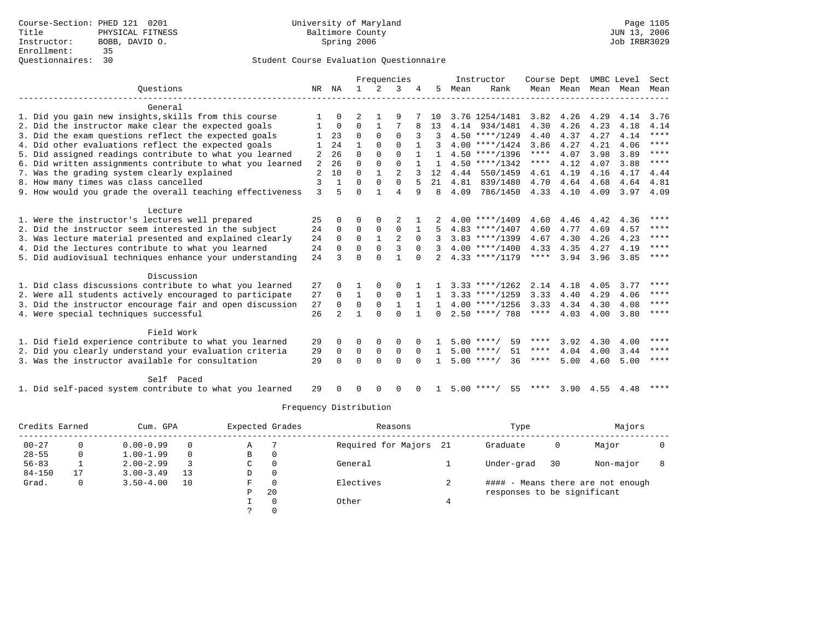### Questionnaires: 30 Student Course Evaluation Questionnaire

|                                                           |                |                |              |              | Frequencies    |              |              |      | Instructor         | Course Dept |                     |      | UMBC Level | Sect        |
|-----------------------------------------------------------|----------------|----------------|--------------|--------------|----------------|--------------|--------------|------|--------------------|-------------|---------------------|------|------------|-------------|
| Ouestions                                                 | NR             | ΝA             | $\mathbf{1}$ | $2^{1}$      | 3              |              | 5.           | Mean | Rank               |             | Mean Mean Mean Mean |      |            | Mean        |
| General                                                   |                |                |              |              |                |              |              |      |                    |             |                     |      |            |             |
| 1. Did you gain new insights, skills from this course     |                | $\Omega$       |              |              | 9              |              | 10           |      | 3.76 1254/1481     | 3.82        | 4.26                | 4.29 | 4.14       | 3.76        |
| 2. Did the instructor make clear the expected goals       |                | $\overline{0}$ | $\Omega$     | 1            |                |              | 13           |      | 4.14 934/1481      | 4.30        | 4.26                | 4.23 | 4.18       | 4.14        |
| 3. Did the exam questions reflect the expected goals      |                | 23             | $\Omega$     | $\Omega$     | $\Omega$       |              |              |      | $4.50$ ****/1249   | 4.40        | 4.37                | 4.27 | 4.14       | ****        |
| 4. Did other evaluations reflect the expected goals       |                | 24             |              | $\Omega$     | $\Omega$       |              |              |      | $4.00$ ****/1424   | 3.86        | 4.27                | 4.21 | 4.06       | ****        |
| 5. Did assigned readings contribute to what you learned   | 2              | 26             | $\Omega$     | $\Omega$     | $\Omega$       |              | $\mathbf{1}$ |      | $4.50$ ****/1396   | ****        | 4.07                | 3.98 | 3.89       | ****        |
| 6. Did written assignments contribute to what you learned | $\overline{2}$ | 26             | $\Omega$     | $\mathbf 0$  | $\Omega$       |              |              |      | $4.50$ ****/1342   | $***$ * * * | 4.12                | 4.07 | 3.88       | $***$ *     |
| 7. Was the grading system clearly explained               | $\overline{2}$ | 10             | $\Omega$     | $\mathbf{1}$ |                |              | 12           | 4.44 | 550/1459           | 4.61        | 4.19                | 4.16 | 4.17       | 4.44        |
| 8. How many times was class cancelled                     | 3              | $\mathbf{1}$   | $\Omega$     | $\Omega$     | $\Omega$       |              | 21           | 4.81 | 839/1480           | 4.70        | 4.64                | 4.68 | 4.64       | 4.81        |
| 9. How would you grade the overall teaching effectiveness | 3              | 5              | $\Omega$     | 1            | 4              | 9            | 8            | 4.09 | 786/1450           |             | 4.33 4.10           | 4.09 | 3.97       | 4.09        |
| Lecture                                                   |                |                |              |              |                |              |              |      |                    |             |                     |      |            |             |
| 1. Were the instructor's lectures well prepared           | 25             | $\Omega$       | $\Omega$     | $\Omega$     | 2              |              |              |      | $4.00$ ****/1409   | 4.60        | 4.46                | 4.42 | 4.36       | ****        |
| 2. Did the instructor seem interested in the subject      | 24             | $\mathbf 0$    | $\mathbf 0$  | $\mathbf 0$  | $\mathbf{0}$   |              |              |      | $4.83$ ****/1407   | 4.60        | 4.77                | 4.69 | 4.57       | ****        |
| 3. Was lecture material presented and explained clearly   | 24             | 0              | $\Omega$     | $\mathbf{1}$ | $\overline{c}$ | $\Omega$     |              |      | $3.83$ ****/1399   | 4.67        | 4.30                | 4.26 | 4.23       | $***$ * * * |
| 4. Did the lectures contribute to what you learned        | 24             | $\Omega$       | $\Omega$     | $\Omega$     | 3              | $\Omega$     |              |      | $4.00$ ****/1400   | 4.33        | 4.35                | 4.27 | 4.19       | $***$ * * * |
| 5. Did audiovisual techniques enhance your understanding  | 24             | 3              | $\Omega$     | $\Omega$     | $\mathbf{1}$   | $\Omega$     |              |      | $4.33$ ****/1179   | $***$ * * * | 3.94                | 3.96 | 3.85       | ****        |
| Discussion                                                |                |                |              |              |                |              |              |      |                    |             |                     |      |            |             |
| 1. Did class discussions contribute to what you learned   | 27             | 0              |              | $\Omega$     | $\Omega$       |              |              |      | $3.33$ ****/1262   | 2.14        | 4.18                | 4.05 | 3.77       | ****        |
| 2. Were all students actively encouraged to participate   | 27             | $\mathbf 0$    | 1            | $\mathbf 0$  | $\mathbf 0$    |              | $\mathbf{1}$ |      | $3.33$ ****/1259   | 3.33        | 4.40                | 4.29 | 4.06       | $***$ * * * |
| 3. Did the instructor encourage fair and open discussion  | 27             | $\Omega$       | $\mathbf 0$  | $\mathbf 0$  | $\mathbf{1}$   |              |              |      | $4.00$ ****/1256   | 3.33        | 4.34                | 4.30 | 4.08       | $***$ *     |
| 4. Were special techniques successful                     | 26             | $\mathfrak{D}$ | 1            | $\Omega$     | $\Omega$       | $\mathbf{1}$ | $\Omega$     |      | $2.50$ ****/ 788   | $***$ * * * | 4.03                | 4.00 | 3.80       | ****        |
| Field Work                                                |                |                |              |              |                |              |              |      |                    |             |                     |      |            |             |
| 1. Did field experience contribute to what you learned    | 29             | $\Omega$       | O            | $\Omega$     | $\Omega$       |              |              |      | 59<br>$5.00$ ****/ | ****        | 3.92                | 4.30 | 4.00       | $* * * * *$ |
| 2. Did you clearly understand your evaluation criteria    | 29             | $\mathbf 0$    | 0            | 0            | $\mathbf 0$    | $\Omega$     |              |      | 51<br>$5.00$ ****/ | ****        | 4.04                | 4.00 | 3.44       | ****        |
| 3. Was the instructor available for consultation          | 29             | $\cap$         | $\Omega$     | $\Omega$     | $\Omega$       | $\Omega$     | $\mathbf{1}$ |      | $5.00$ ****/<br>36 | ****        | 5.00                | 4.60 | 5.00       | ****        |
| Self Paced                                                |                |                |              |              |                |              |              |      |                    |             |                     |      |            |             |
| 1. Did self-paced system contribute to what you learned   | 29             |                | U            | $\Omega$     | $\Omega$       | $\Omega$     | $\mathbf{1}$ |      | $5.00$ ****/<br>55 |             | **** 3.90           |      | 4.55 4.48  | ****        |

| Credits Earned |    | Cum. GPA      |    |   | Expected Grades | Reasons                | Type                        |    | Majors                            |  |
|----------------|----|---------------|----|---|-----------------|------------------------|-----------------------------|----|-----------------------------------|--|
| $00 - 27$      |    | $0.00 - 0.99$ |    | Α |                 | Required for Majors 21 | Graduate                    |    | Major                             |  |
| $28 - 55$      |    | $1.00 - 1.99$ |    | B | $\Omega$        |                        |                             |    |                                   |  |
| $56 - 83$      |    | $2.00 - 2.99$ |    | C | $\Omega$        | General                | Under-grad                  | 30 | Non-major                         |  |
| $84 - 150$     | 17 | $3.00 - 3.49$ | 13 | D | 0               |                        |                             |    |                                   |  |
| Grad.          | 0  | $3.50 - 4.00$ | 10 | F | $\Omega$        | Electives              |                             |    | #### - Means there are not enough |  |
|                |    |               |    | Ρ | 20              |                        | responses to be significant |    |                                   |  |
|                |    |               |    |   |                 | Other                  |                             |    |                                   |  |
|                |    |               |    |   |                 |                        |                             |    |                                   |  |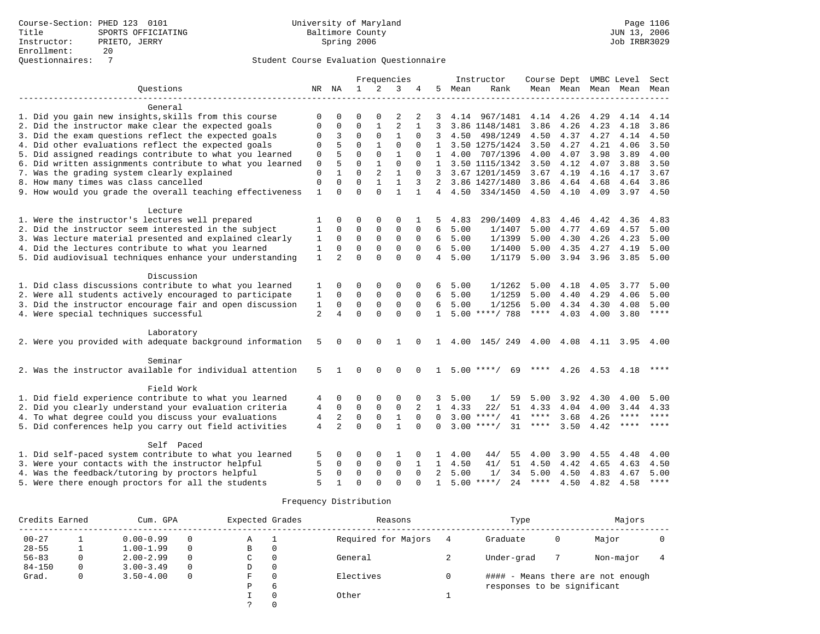|                                                            |                |                |              |                | Frequencies    |              |                |      | Instructor         | Course Dept UMBC Level |                     |      |             | Sect         |
|------------------------------------------------------------|----------------|----------------|--------------|----------------|----------------|--------------|----------------|------|--------------------|------------------------|---------------------|------|-------------|--------------|
| Ouestions                                                  |                | NR NA          | $\mathbf{1}$ | $\overline{2}$ | 3              | 4            | 5.             | Mean | Rank               |                        | Mean Mean Mean Mean |      |             | Mean         |
|                                                            |                |                |              |                |                |              |                |      |                    |                        |                     |      |             |              |
| General                                                    |                |                |              |                |                |              |                |      |                    |                        |                     |      |             |              |
| 1. Did you gain new insights, skills from this course      | $\mathbf 0$    | $\Omega$       | O            | $\Omega$       | 2              | 2            | 3              | 4.14 | 967/1481           | 4.14                   | 4.26                | 4.29 | 4.14        | 4.14         |
| 2. Did the instructor make clear the expected goals        | $\Omega$       | 0              | $\Omega$     | 1              | $\overline{2}$ |              | 3              |      | 3.86 1148/1481     | 3.86                   | 4.26                | 4.23 | 4.18        | 3.86         |
| 3. Did the exam questions reflect the expected goals       | 0              | 3              | 0            | $\mathbf 0$    | $\mathbf{1}$   | $\Omega$     | 3              | 4.50 | 498/1249           | 4.50                   | 4.37                | 4.27 | 4.14        | 4.50         |
| 4. Did other evaluations reflect the expected goals        | 0              | 5              | $\Omega$     | $\mathbf{1}$   | $\Omega$       | $\Omega$     | 1              |      | 3.50 1275/1424     | 3.50                   | 4.27                | 4.21 | 4.06        | 3.50         |
| 5. Did assigned readings contribute to what you learned    | $\Omega$       | 5              | $\Omega$     | $\Omega$       | $\mathbf{1}$   | $\Omega$     | $\mathbf{1}$   | 4.00 | 707/1396           | 4.00                   | 4.07                | 3.98 | 3.89        | 4.00         |
| 6. Did written assignments contribute to what you learned  | 0              | 5              | $\Omega$     | 1              | $\Omega$       | $\Omega$     | 1              |      | 3.50 1115/1342     | 3.50                   | 4.12                | 4.07 | 3.88        | 3.50         |
| 7. Was the grading system clearly explained                | $\Omega$       | $\mathbf{1}$   | $\Omega$     | $\overline{a}$ | $\mathbf{1}$   | $\Omega$     | 3              |      | 3.67 1201/1459     | 3.67                   | 4.19                | 4.16 | 4.17        | 3.67         |
| 8. How many times was class cancelled                      | $\Omega$       | $\Omega$       | $\Omega$     | $\mathbf{1}$   | $\mathbf{1}$   | 3            | 2              |      | 3.86 1427/1480     | 3.86                   | 4.64                | 4.68 | 4.64        | 3.86         |
| 9. How would you grade the overall teaching effectiveness  | $\mathbf{1}$   | $\Omega$       | $\Omega$     | $\Omega$       | $\mathbf{1}$   | $\mathbf{1}$ | $\overline{4}$ |      | 4.50 334/1450      | 4.50                   | 4.10                | 4.09 | $3.97$ 4.50 |              |
|                                                            |                |                |              |                |                |              |                |      |                    |                        |                     |      |             |              |
| Lecture<br>1. Were the instructor's lectures well prepared | 1              | 0              | O            | $\Omega$       | $\Omega$       |              | 5              | 4.83 | 290/1409           | 4.83                   | 4.46                | 4.42 | 4.36        |              |
| 2. Did the instructor seem interested in the subject       | $\mathbf{1}$   | $\Omega$       | $\Omega$     | 0              | $\mathbf 0$    | 0            | 6              | 5.00 | 1/1407             | 5.00                   | 4.77                | 4.69 | 4.57        | 4.83<br>5.00 |
| 3. Was lecture material presented and explained clearly    | 1              | $\Omega$       | $\Omega$     | $\Omega$       | $\mathbf 0$    | $\Omega$     | 6              | 5.00 | 1/1399             | 5.00                   | 4.30                | 4.26 | 4.23        | 5.00         |
| 4. Did the lectures contribute to what you learned         | 1              | $\Omega$       | $\Omega$     | $\mathbf 0$    | $\Omega$       | $\Omega$     | 6              | 5.00 | 1/1400             | 5.00                   | 4.35                | 4.27 | 4.19        | 5.00         |
|                                                            |                | $\mathfrak{D}$ | $\Omega$     | $\Omega$       | $\Omega$       | $\Omega$     | $\overline{4}$ | 5.00 | 1/1179             | 5.00                   | 3.94                |      | 3.85        | 5.00         |
| 5. Did audiovisual techniques enhance your understanding   | 1              |                |              |                |                |              |                |      |                    |                        |                     | 3.96 |             |              |
| Discussion                                                 |                |                |              |                |                |              |                |      |                    |                        |                     |      |             |              |
| 1. Did class discussions contribute to what you learned    | 1              | 0              | 0            | $\Omega$       | $\Omega$       |              | 6              | 5.00 | 1/1262             | 5.00                   | 4.18                | 4.05 | 3.77        | 5.00         |
| 2. Were all students actively encouraged to participate    | $\mathbf 1$    | $\Omega$       | $\mathbf 0$  | $\mathbf 0$    | $\mathbf 0$    | $\Omega$     | 6              | 5.00 | 1/1259             | 5.00                   | 4.40                | 4.29 | 4.06        | 5.00         |
| 3. Did the instructor encourage fair and open discussion   | 1              | $\Omega$       | $\mathbf 0$  | $\mathbf 0$    | $\mathbf 0$    | $\Omega$     | 6              | 5.00 | 1/1256             | 5.00                   | 4.34                | 4.30 | 4.08        | 5.00         |
| 4. Were special techniques successful                      | $\overline{2}$ | $\overline{4}$ | $\Omega$     | $\Omega$       | $\Omega$       | $\Omega$     | $\mathbf{1}$   |      | $5.00$ ****/ 788   | $***$ * * *            | 4.03                | 4.00 | 3.80        | $***$ *      |
|                                                            |                |                |              |                |                |              |                |      |                    |                        |                     |      |             |              |
| Laboratory                                                 |                |                |              |                |                |              |                |      |                    |                        |                     |      |             |              |
| 2. Were you provided with adequate background information  | 5              | 0              | 0            | $\Omega$       | 1              | $\Omega$     | 1              | 4.00 | 145/249            | 4.00                   | 4.08 4.11           |      | 3.95 4.00   |              |
|                                                            |                |                |              |                |                |              |                |      |                    |                        |                     |      |             |              |
| Seminar                                                    | 5              |                | $\Omega$     |                | $\Omega$       |              |                |      | $5.00$ ****/       | ****                   |                     |      |             | ****         |
| 2. Was the instructor available for individual attention   |                |                |              | $\Omega$       |                |              | $\mathbf{1}$   |      | 69                 |                        | 4.26 4.53           |      | 4.18        |              |
| Field Work                                                 |                |                |              |                |                |              |                |      |                    |                        |                     |      |             |              |
| 1. Did field experience contribute to what you learned     | 4              | 0              | 0            | 0              | 0              | 0            | 3              | 5.00 | 1/<br>59           | 5.00                   | 3.92                | 4.30 | 4.00        | 5.00         |
| 2. Did you clearly understand your evaluation criteria     | 4              | $\mathbf 0$    | $\mathbf 0$  | $\mathbf 0$    | $\mathbf 0$    | 2            | $\mathbf{1}$   | 4.33 | 22/<br>51          | 4.33                   | 4.04                | 4.00 | 3.44        | 4.33         |
| 4. To what degree could you discuss your evaluations       | $\overline{4}$ | $\overline{2}$ | $\mathbf 0$  | $\mathsf 0$    | $\mathbf{1}$   | $\Omega$     | $\Omega$       |      | $3.00$ ****/<br>41 | $***$ * * *            | 3.68                | 4.26 | $***$ * * * | $***$        |
| 5. Did conferences help you carry out field activities     | 4              | $\overline{a}$ | $\Omega$     | $\Omega$       | $\mathbf{1}$   | $\Omega$     | $\Omega$       |      | $3.00$ ****/<br>31 | ****                   | 3.50                | 4.42 | $***$ * * * | $* * * * *$  |
|                                                            |                |                |              |                |                |              |                |      |                    |                        |                     |      |             |              |
| Self Paced                                                 |                |                |              |                |                |              |                |      |                    |                        |                     |      |             |              |
| 1. Did self-paced system contribute to what you learned    | 5              | 0              | 0            | 0              | 1              | 0            | 1              | 4.00 | 44/<br>55          | 4.00                   | 3.90                | 4.55 | 4.48        | 4.00         |
| 3. Were your contacts with the instructor helpful          | 5              | 0              | $\Omega$     | 0              | $\mathbf 0$    | 1            | $\mathbf{1}$   | 4.50 | 41/<br>51          | 4.50                   | 4.42                | 4.65 | 4.63        | 4.50         |
| 4. Was the feedback/tutoring by proctors helpful           | 5              | $\mathbf 0$    | $\mathbf 0$  | $\mathbf 0$    | $\mathbf 0$    | $\Omega$     | 2              | 5.00 | 34<br>1/           | 5.00                   | 4.50                | 4.83 | 4.67        | 5.00         |
| 5. Were there enough proctors for all the students         | 5              | 1              | $\Omega$     | $\Omega$       | $\Omega$       | $\Omega$     | $\mathbf{1}$   |      | $5.00$ ****/<br>24 |                        | **** $4.50$         | 4.82 | 4.58        | $***$        |

| Credits Earned | Cum. GPA      |          | Expected Grades |          | Reasons             | Type                        |   | Majors                            |  |
|----------------|---------------|----------|-----------------|----------|---------------------|-----------------------------|---|-----------------------------------|--|
| $00 - 27$      | $0.00 - 0.99$ | $\Omega$ | Α               | л.       | Required for Majors | Graduate                    | 0 | Major                             |  |
| $28 - 55$      | $1.00 - 1.99$ | $\Omega$ | В               | 0        |                     |                             |   |                                   |  |
| $56 - 83$      | $2.00 - 2.99$ | $\Omega$ | C               | 0        | General             | Under-grad                  |   | Non-major                         |  |
| $84 - 150$     | $3.00 - 3.49$ | $\Omega$ | D               | 0        |                     |                             |   |                                   |  |
| Grad.          | $3.50 - 4.00$ | $\Omega$ | F               | 0        | Electives           |                             |   | #### - Means there are not enough |  |
|                |               |          | Ρ               | 6        |                     | responses to be significant |   |                                   |  |
|                |               |          |                 | $\Omega$ | Other               |                             |   |                                   |  |
|                |               |          |                 |          |                     |                             |   |                                   |  |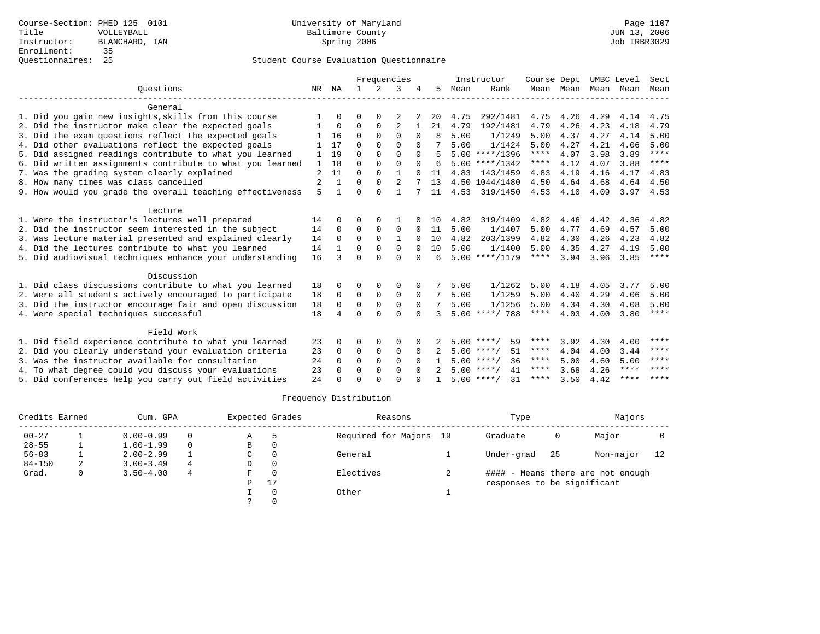|                                                           |                |              |              |          | Frequencies    |          |    |      | Instructor         | Course Dept |           | UMBC Level |             | Sect        |
|-----------------------------------------------------------|----------------|--------------|--------------|----------|----------------|----------|----|------|--------------------|-------------|-----------|------------|-------------|-------------|
| Ouestions                                                 | NR             | ΝA           | $\mathbf{1}$ | $2^{1}$  | 3              |          | 5. | Mean | Rank               |             | Mean Mean | Mean Mean  |             | Mean        |
| General                                                   |                |              |              |          |                |          |    |      |                    |             |           |            |             |             |
| 1. Did you gain new insights, skills from this course     |                | $\Omega$     | $\Omega$     | 0        |                |          | 20 | 4.75 | 292/1481           | 4.75        | 4.26      | 4.29       | 4.14        | 4.75        |
| 2. Did the instructor make clear the expected goals       |                | 0            | 0            | 0        | $\overline{2}$ |          | 21 | 4.79 | 192/1481           | 4.79        | 4.26      | 4.23       | 4.18        | 4.79        |
| 3. Did the exam questions reflect the expected goals      |                | 16           | $\Omega$     | $\Omega$ | $\Omega$       | $\Omega$ |    | 5.00 | 1/1249             | 5.00        | 4.37      | 4.27       | 4.14        | 5.00        |
| 4. Did other evaluations reflect the expected goals       |                | 17           | $\Omega$     | $\Omega$ | $\cap$         | $\Omega$ |    | 5.00 | 1/1424             | 5.00        | 4.27      | 4.21       | 4.06        | 5.00        |
| 5. Did assigned readings contribute to what you learned   |                | 19           | $\Omega$     | $\Omega$ | $\Omega$       | $\Omega$ | 5  |      | $5.00$ ****/1396   | $***$ * * * | 4.07      | 3.98       | 3.89        | $***$ * * * |
| 6. Did written assignments contribute to what you learned | 1              | 18           | $\Omega$     | $\Omega$ | $\Omega$       | $\Omega$ | 6  |      | $5.00$ ****/1342   | ****        | 4.12      | 4.07       | 3.88        | ****        |
| 7. Was the grading system clearly explained               | $\overline{2}$ | 11           | $\Omega$     | $\Omega$ | $\mathbf{1}$   |          | 11 | 4.83 | 143/1459           | 4.83        | 4.19      | 4.16       | 4.17        | 4.83        |
| 8. How many times was class cancelled                     | $\overline{2}$ |              | $\Omega$     | $\Omega$ | 2              |          | 13 |      | 4.50 1044/1480     | 4.50        | 4.64      | 4.68       | 4.64        | 4.50        |
| 9. How would you grade the overall teaching effectiveness | 5              | $\mathbf{1}$ | $\Omega$     | $\cap$   | 1              |          | 11 |      | 4.53 319/1450      | 4.53        | 4.10      | 4.09       | 3.97        | 4.53        |
| Lecture                                                   |                |              |              |          |                |          |    |      |                    |             |           |            |             |             |
| 1. Were the instructor's lectures well prepared           | 14             | $\Omega$     | $\Omega$     |          |                |          | 10 | 4.82 | 319/1409           | 4.82        | 4.46      | 4.42       | 4.36        | 4.82        |
| 2. Did the instructor seem interested in the subject      | 14             | $\mathbf 0$  | 0            | 0        | 0              |          | 11 | 5.00 | 1/1407             | 5.00        | 4.77      | 4.69       | 4.57        | 5.00        |
| 3. Was lecture material presented and explained clearly   | 14             | $\Omega$     | $\Omega$     | 0        |                |          | 10 | 4.82 | 203/1399           | 4.82        | 4.30      | 4.26       | 4.23        | 4.82        |
| 4. Did the lectures contribute to what you learned        | 14             |              | $\Omega$     | $\Omega$ | $\Omega$       |          | 10 | 5.00 | 1/1400             | 5.00        | 4.35      | 4.27       | 4.19        | 5.00        |
| 5. Did audiovisual techniques enhance your understanding  | 16             | $\mathbf{R}$ | $\Omega$     | $\cap$   | $\Omega$       | $\cap$   | 6  |      | $5.00$ ****/1179   | ****        | 3.94      | 3.96       | 3.85        | $***$ * * * |
| Discussion                                                |                |              |              |          |                |          |    |      |                    |             |           |            |             |             |
| 1. Did class discussions contribute to what you learned   | 18             |              | $\Omega$     | $\Omega$ | $\Omega$       |          | 7  | 5.00 | 1/1262             | 5.00        | 4.18      | 4.05       | 3.77        | 5.00        |
| 2. Were all students actively encouraged to participate   | 18             | $\Omega$     | $\Omega$     | 0        | $\Omega$       | $\Omega$ | 7  | 5.00 | 1/1259             | 5.00        | 4.40      | 4.29       | 4.06        | 5.00        |
| 3. Did the instructor encourage fair and open discussion  | 18             | $\Omega$     | $\Omega$     | $\Omega$ | $\Omega$       | $\Omega$ | 7  | 5.00 | 1/1256             | 5.00        | 4.34      | 4.30       | 4.08        | 5.00        |
| 4. Were special techniques successful                     | 18             | 4            | $\Omega$     | $\cap$   | $\Omega$       | $\Omega$ | 3  |      | $5.00$ ****/ 788   | ****        | 4.03      | 4.00       | 3.80        | $***$ * * * |
| Field Work                                                |                |              |              |          |                |          |    |      |                    |             |           |            |             |             |
| 1. Did field experience contribute to what you learned    | 23             | <sup>0</sup> | ∩            | 0        | O              |          |    |      | 59<br>$5.00$ ****/ | ****        | 3.92      | 4.30       | 4.00        | ****        |
| 2. Did you clearly understand your evaluation criteria    | 23             | 0            | 0            | $\Omega$ | 0              | $\Omega$ |    |      | $5.00$ ****/<br>51 | ****        | 4.04      | 4.00       | 3.44        | $* * * * *$ |
| 3. Was the instructor available for consultation          | 24             | $\Omega$     | $\Omega$     | $\Omega$ | $\Omega$       | $\Omega$ |    |      | $5.00$ ****/<br>36 | ****        | 5.00      | 4.60       | 5.00        | $* * * * *$ |
| 4. To what degree could you discuss your evaluations      | 23             | $\Omega$     | $\Omega$     | $\Omega$ | $\Omega$       | $\Omega$ |    |      | $5.00$ ****/<br>41 | ****        | 3.68      | 4.26       | $***$ * * * | $* * * *$   |
| 5. Did conferences help you carry out field activities    | 24             |              | $\Omega$     | $\cap$   | $\cap$         |          |    |      | $5.00$ ****/<br>31 | ****        | 3.50      | 4.42       | ****        | $* * * * *$ |

| Credits Earned |   | Cum. GPA      |          |    | Expected Grades | Reasons                | Type                        |     | Majors                            |    |
|----------------|---|---------------|----------|----|-----------------|------------------------|-----------------------------|-----|-----------------------------------|----|
| $00 - 27$      |   | $0.00 - 0.99$ | 0        | A  |                 | Required for Majors 19 | Graduate                    | 0   | Major                             |    |
| $28 - 55$      |   | $1.00 - 1.99$ | $\Omega$ | B  |                 |                        |                             |     |                                   |    |
| $56 - 83$      |   | $2.00 - 2.99$ |          | C  |                 | General                | Under-grad                  | -25 | Non-major                         | 12 |
| $84 - 150$     | 2 | $3.00 - 3.49$ | 4        | D  | $\Omega$        |                        |                             |     |                                   |    |
| Grad.          | 0 | $3.50 - 4.00$ | 4        | F. |                 | Electives              |                             |     | #### - Means there are not enough |    |
|                |   |               |          | P  | 17              |                        | responses to be significant |     |                                   |    |
|                |   |               |          |    |                 | Other                  |                             |     |                                   |    |
|                |   |               |          |    |                 |                        |                             |     |                                   |    |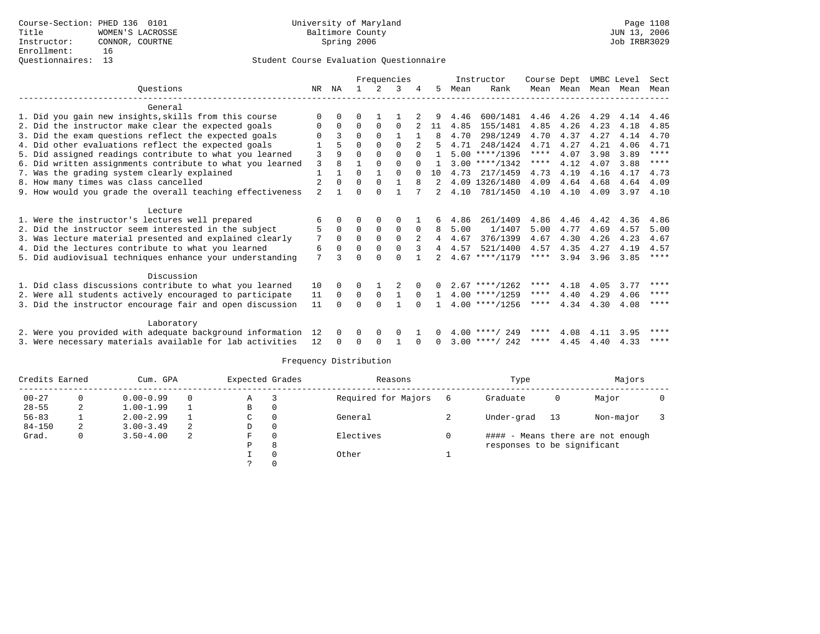|                                                           | Frequencies    |             |          |              |              | Instructor   | Course Dept    |      | UMBC Level       |             | Sect |      |      |             |
|-----------------------------------------------------------|----------------|-------------|----------|--------------|--------------|--------------|----------------|------|------------------|-------------|------|------|------|-------------|
| Ouestions                                                 | NR             | ΝA          |          | 2            | 3            |              | 5              | Mean | Rank             | Mean        | Mean | Mean | Mean | Mean        |
| General                                                   |                |             |          |              |              |              |                |      |                  |             |      |      |      |             |
| 1. Did you gain new insights, skills from this course     | $\Omega$       | $\Omega$    | O        |              |              |              |                | 4.46 | 600/1481         | 4.46        | 4.26 | 4.29 | 4.14 | 4.46        |
| 2. Did the instructor make clear the expected goals       | 0              | $\Omega$    | $\Omega$ | $\Omega$     | $\Omega$     |              | 11             | 4.85 | 155/1481         | 4.85        | 4.26 | 4.23 | 4.18 | 4.85        |
| 3. Did the exam questions reflect the expected goals      | $\Omega$       | 3           | $\Omega$ | $\Omega$     |              | $\mathbf{1}$ | 8              | 4.70 | 298/1249         | 4.70        | 4.37 | 4.27 | 4.14 | 4.70        |
| 4. Did other evaluations reflect the expected goals       |                |             | $\Omega$ | $\Omega$     | $\Omega$     |              | 5.             | 4.71 | 248/1424         | 4.71        | 4.27 | 4.21 | 4.06 | 4.71        |
| 5. Did assigned readings contribute to what you learned   | 3              |             | $\Omega$ | $\Omega$     | $\Omega$     |              |                |      | $5.00$ ****/1396 | $***$ * *   | 4.07 | 3.98 | 3.89 | $***$ * * * |
| 6. Did written assignments contribute to what you learned | 3              | 8           |          | $\Omega$     | $\Omega$     |              |                |      | $3.00$ ****/1342 | ****        | 4.12 | 4.07 | 3.88 | ****        |
| 7. Was the grading system clearly explained               | 1              |             | $\Omega$ | $\mathbf{1}$ | $\Omega$     |              | 10             | 4.73 | 217/1459         | 4.73        | 4.19 | 4.16 | 4.17 | 4.73        |
| 8. How many times was class cancelled                     | $\overline{2}$ | $\Omega$    | $\Omega$ | $\Omega$     | $\mathbf{1}$ | 8            |                |      | 4.09 1326/1480   | 4.09        | 4.64 | 4.68 | 4.64 | 4.09        |
| 9. How would you grade the overall teaching effectiveness | $\overline{a}$ |             | $\Omega$ | $\cap$       |              |              | 2              | 4.10 | 781/1450         | 4.10        | 4.10 | 4.09 | 3.97 | 4.10        |
| Lecture                                                   |                |             |          |              |              |              |                |      |                  |             |      |      |      |             |
| 1. Were the instructor's lectures well prepared           | 6              | $\Omega$    |          |              | 0            |              | 6              | 4.86 | 261/1409         | 4.86        | 4.46 | 4.42 | 4.36 | 4.86        |
| 2. Did the instructor seem interested in the subject      | 5              | $\mathbf 0$ | $\Omega$ | $\mathbf 0$  | 0            |              | 8              | 5.00 | 1/1407           | 5.00        | 4.77 | 4.69 | 4.57 | 5.00        |
| 3. Was lecture material presented and explained clearly   | 7              | $\Omega$    | $\Omega$ | $\Omega$     | $\Omega$     |              | $\overline{4}$ | 4.67 | 376/1399         | 4.67        | 4.30 | 4.26 | 4.23 | 4.67        |
| 4. Did the lectures contribute to what you learned        | 6              | $\Omega$    | $\Omega$ | $\Omega$     | $\Omega$     |              |                | 4.57 | 521/1400         | 4.57        | 4.35 | 4.27 | 4.19 | 4.57        |
| 5. Did audiovisual techniques enhance your understanding  | 7              |             | $\Omega$ |              | $\cap$       |              |                |      | $4.67$ ****/1179 | ****        | 3.94 | 3.96 | 3.85 | $* * * * *$ |
| Discussion                                                |                |             |          |              |              |              |                |      |                  |             |      |      |      |             |
| 1. Did class discussions contribute to what you learned   | 10             | $\Omega$    | 0        |              |              |              |                |      | $2.67$ ****/1262 | ****        | 4.18 | 4.05 | 3.77 | ****        |
| 2. Were all students actively encouraged to participate   | 11             | $\Omega$    | 0        | $\mathbf 0$  | 1            | $\Omega$     |                |      | $4.00$ ****/1259 | ****        | 4.40 | 4.29 | 4.06 | ****        |
| 3. Did the instructor encourage fair and open discussion  | 11             | $\Omega$    | $\Omega$ | $\Omega$     | $\mathbf{1}$ | $\cap$       |                |      | $4.00$ ****/1256 | $***$ * * * | 4.34 | 4.30 | 4.08 | ****        |
|                                                           |                |             |          |              |              |              |                |      |                  |             |      |      |      |             |
| Laboratory                                                |                |             |          |              |              |              |                |      |                  |             |      |      |      |             |
| 2. Were you provided with adequate background information | 12             | 0           | $\Omega$ | $\Omega$     | $\Omega$     |              |                |      | $4.00$ ****/ 249 | ****        | 4.08 | 4.11 | 3.95 | ****        |
| 3. Were necessary materials available for lab activities  | 12             | $\Omega$    | $\Omega$ | $\Omega$     |              | $\Omega$     | $\Omega$       |      | $3.00$ ****/ 242 | ****        | 4.45 | 4.40 | 4.33 | ****        |

| Credits Earned |   | Cum. GPA      |    | Expected Grades |   | Reasons             | Type                        |    | Majors                            |  |
|----------------|---|---------------|----|-----------------|---|---------------------|-----------------------------|----|-----------------------------------|--|
| $00 - 27$      |   | $0.00 - 0.99$ |    | Α               |   | Required for Majors | Graduate                    | 0  | Major                             |  |
| $28 - 55$      |   | $1.00 - 1.99$ |    | В               | 0 |                     |                             |    |                                   |  |
| $56 - 83$      |   | $2.00 - 2.99$ |    | C               | 0 | General             | Under-grad                  | 13 | Non-major                         |  |
| $84 - 150$     | 2 | $3.00 - 3.49$ | 2  | D               | 0 |                     |                             |    |                                   |  |
| Grad.          |   | $3.50 - 4.00$ | -2 | F               | 0 | Electives           |                             |    | #### - Means there are not enough |  |
|                |   |               |    | Р               | 8 |                     | responses to be significant |    |                                   |  |
|                |   |               |    |                 | 0 | Other               |                             |    |                                   |  |
|                |   |               |    |                 |   |                     |                             |    |                                   |  |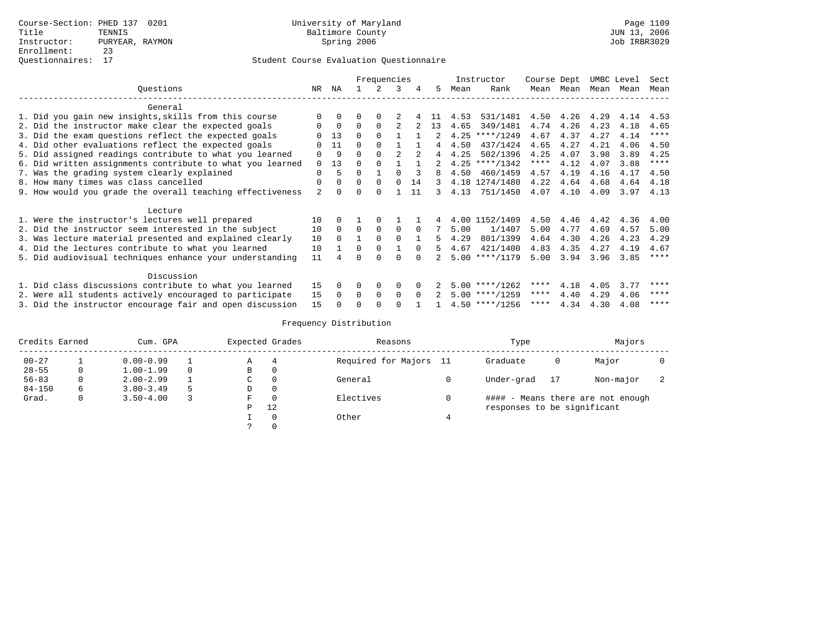|                                                           |          |              |              | Frequencies |          |          |                |      | Instructor       | Course Dept |                | UMBC Level |      | Sect        |
|-----------------------------------------------------------|----------|--------------|--------------|-------------|----------|----------|----------------|------|------------------|-------------|----------------|------------|------|-------------|
| Ouestions                                                 | NR.      | ΝA           |              |             | 3        |          | 5.             | Mean | Rank             | Mean        | Mean           | Mean       | Mean | Mean        |
| General                                                   |          |              |              |             |          |          |                |      |                  |             |                |            |      |             |
| 1. Did you gain new insights, skills from this course     | $\Omega$ | $\Omega$     | 0            | 0           |          |          | -11-           | 4.53 | 531/1481         |             | 4.50 4.26 4.29 |            | 4.14 | 4.53        |
| 2. Did the instructor make clear the expected goals       | $\Omega$ | $\Omega$     | $\Omega$     | $\Omega$    |          |          | 13             | 4.65 | 349/1481         | 4.74        | 4.26           | 4.23       | 4.18 | 4.65        |
| 3. Did the exam questions reflect the expected goals      | ∩        | 13           | $\Omega$     |             |          |          |                |      | $4.25$ ****/1249 | 4.67        | 4.37           | 4.27       | 4.14 | $***$ * * * |
| 4. Did other evaluations reflect the expected goals       |          | 11           | $\Omega$     |             |          |          |                | 4.50 | 437/1424         | 4.65        | 4.27           | 4.21       | 4.06 | 4.50        |
| 5. Did assigned readings contribute to what you learned   | $\Omega$ | 9            | $\Omega$     |             |          |          | $\overline{4}$ | 4.25 | 502/1396         | 4.25        | 4.07           | 3.98       | 3.89 | 4.25        |
| 6. Did written assignments contribute to what you learned | $\Omega$ | 13           | <sup>0</sup> |             |          |          |                |      | $4.25$ ****/1342 | ****        | 4.12           | 4.07       | 3.88 | $***$ * * * |
| 7. Was the grading system clearly explained               | $\Omega$ | 5.           | $\Omega$     |             | $\cap$   | 3        | 8              | 4.50 | 460/1459         | 4.57        | 4.19           | 4.16       | 4.17 | 4.50        |
| 8. How many times was class cancelled                     | $\Omega$ | $\Omega$     | $\Omega$     | $\Omega$    | $\Omega$ | 14       | 3              |      | 4.18 1274/1480   | 4.22        | 4.64           | 4.68       | 4.64 | 4.18        |
| 9. How would you grade the overall teaching effectiveness | 2        | <sup>n</sup> | 0            | 0           |          | 11       | 3              | 4.13 | 751/1450         | 4.07        | 4.10           | 4.09       | 3.97 | 4.13        |
| Lecture                                                   |          |              |              |             |          |          |                |      |                  |             |                |            |      |             |
| 1. Were the instructor's lectures well prepared           | 10       | $\Omega$     |              | $\Omega$    |          |          |                |      | 4.00 1152/1409   | 4.50        | 4.46           | 4.42       | 4.36 | 4.00        |
| 2. Did the instructor seem interested in the subject      | 10       | $\Omega$     | $\Omega$     | $\Omega$    | $\Omega$ | $\Omega$ |                | 5.00 | 1/1407           | 5.00        | 4.77           | 4.69       | 4.57 | 5.00        |
| 3. Was lecture material presented and explained clearly   | 10       | $\Omega$     |              | $\Omega$    | $\Omega$ |          | 5              | 4.29 | 801/1399         | 4.64        | 4.30           | 4.26       | 4.23 | 4.29        |
| 4. Did the lectures contribute to what you learned        | 10       |              | $\Omega$     | $\Omega$    |          | $\Omega$ | 5.             | 4.67 | 421/1400         | 4.83        | 4.35           | 4.27       | 4.19 | 4.67        |
| 5. Did audiovisual techniques enhance your understanding  | 11       |              | U            |             | ∩        |          |                |      | $5.00$ ****/1179 | 5.00        | 3.94           | 3.96       | 3.85 | $* * * * *$ |
| Discussion                                                |          |              |              |             |          |          |                |      |                  |             |                |            |      |             |
| 1. Did class discussions contribute to what you learned   | 15       |              | O            | 0           | $\Omega$ |          |                |      | $5.00$ ****/1262 | ****        | 4.18           | 4.05       | 3.77 | ****        |
| 2. Were all students actively encouraged to participate   | 15       | $\Omega$     | $\Omega$     | $\mathbf 0$ | $\Omega$ | $\Omega$ |                |      | $5.00$ ****/1259 | ****        | 4.40           | 4.29       | 4.06 | ****        |
| 3. Did the instructor encourage fair and open discussion  | 15       |              |              |             | ∩        |          |                |      | $4.50$ ****/1256 | ****        | 4.34           | 4.30       | 4.08 | ****        |

| Credits Earned |   | Cum. GPA      |          |   | Expected Grades | Reasons             |      | Type                        |    | Majors                            |  |
|----------------|---|---------------|----------|---|-----------------|---------------------|------|-----------------------------|----|-----------------------------------|--|
| $00 - 27$      |   | $0.00 - 0.99$ |          | Α | 4               | Required for Majors | - 11 | Graduate                    | 0  | Major                             |  |
| $28 - 55$      | 0 | $1.00 - 1.99$ | $\Omega$ | B |                 |                     |      |                             |    |                                   |  |
| $56 - 83$      | 0 | $2.00 - 2.99$ |          | C |                 | General             |      | Under-grad                  | 17 | Non-major                         |  |
| $84 - 150$     | 6 | $3.00 - 3.49$ |          | D |                 |                     |      |                             |    |                                   |  |
| Grad.          | 0 | $3.50 - 4.00$ |          | F |                 | Electives           |      |                             |    | #### - Means there are not enough |  |
|                |   |               |          | D | 12              |                     |      | responses to be significant |    |                                   |  |
|                |   |               |          |   |                 | Other               |      |                             |    |                                   |  |
|                |   |               |          |   |                 |                     |      |                             |    |                                   |  |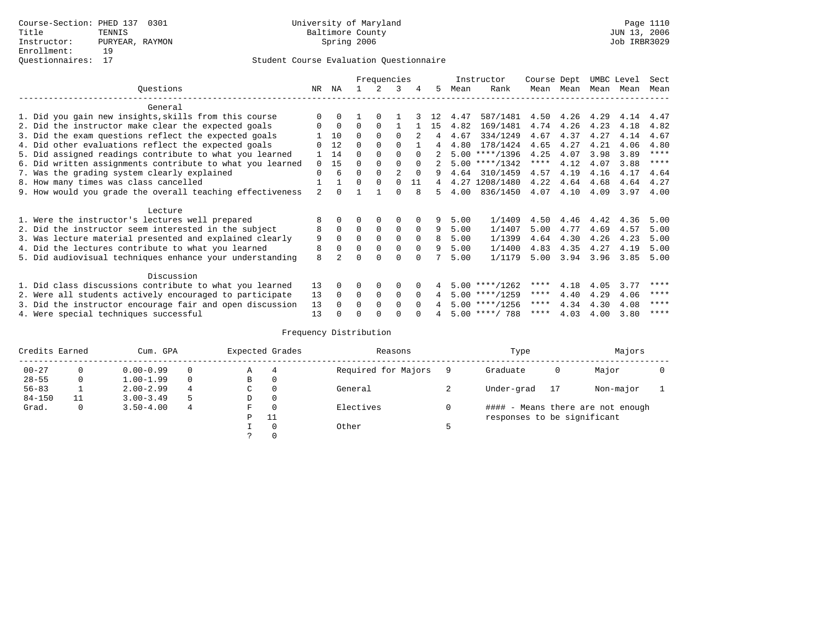|                                                           |          |             |          | Frequencies |                |          |    |      | Instructor       | Course Dept |      | UMBC Level |      | Sect        |
|-----------------------------------------------------------|----------|-------------|----------|-------------|----------------|----------|----|------|------------------|-------------|------|------------|------|-------------|
| Questions                                                 | NR       | ΝA          |          |             | 3              | 4        | 5  | Mean | Rank             | Mean        | Mean | Mean       | Mean | Mean        |
| General                                                   |          |             |          |             |                |          |    |      |                  |             |      |            |      |             |
| 1. Did you gain new insights, skills from this course     |          | $\Omega$    |          | $\Omega$    |                |          |    | 4.47 | 587/1481         | 4.50        | 4.26 | 4.29       | 4.14 | 4.47        |
| 2. Did the instructor make clear the expected goals       |          | $\mathbf 0$ | $\Omega$ | $\Omega$    |                |          | 15 | 4.82 | 169/1481         | 4.74        | 4.26 | 4.23       | 4.18 | 4.82        |
| 3. Did the exam questions reflect the expected goals      |          | 10          | $\Omega$ | $\Omega$    | $\Omega$       |          | 4  | 4.67 | 334/1249         | 4.67        | 4.37 | 4.27       | 4.14 | 4.67        |
| 4. Did other evaluations reflect the expected goals       |          | 12          | $\Omega$ | $\Omega$    | $\Omega$       |          | 4  | 4.80 | 178/1424         | 4.65        | 4.27 | 4.21       | 4.06 | 4.80        |
| 5. Did assigned readings contribute to what you learned   |          | 14          | 0        | $\Omega$    | $\Omega$       |          |    |      | $5.00$ ****/1396 | 4.25        | 4.07 | 3.98       | 3.89 | $***$ * * * |
| 6. Did written assignments contribute to what you learned | $\Omega$ | 15          | 0        | $\Omega$    | $\Omega$       | $\Omega$ |    |      | $5.00$ ****/1342 | $***$ * *   | 4.12 | 4.07       | 3.88 | $* * * * *$ |
| 7. Was the grading system clearly explained               | $\Omega$ | 6           | O        | $\Omega$    | $\mathfrak{D}$ | $\Omega$ |    | 4.64 | 310/1459         | 4.57        | 4.19 | 4.16       | 4.17 | 4.64        |
| 8. How many times was class cancelled                     |          |             | $\Omega$ | $\Omega$    | <sup>0</sup>   | 11       |    |      | 4.27 1208/1480   | 4.22        | 4.64 | 4.68       | 4.64 | 4.27        |
| 9. How would you grade the overall teaching effectiveness | 2        | $\cap$      |          |             | 0              | 8        |    | 4.00 | 836/1450         | 4.07        | 4.10 | 4.09       | 3.97 | 4.00        |
| Lecture                                                   |          |             |          |             |                |          |    |      |                  |             |      |            |      |             |
| 1. Were the instructor's lectures well prepared           | 8        |             |          | $\Omega$    | $\Omega$       |          | 9  | 5.00 | 1/1409           | 4.50        | 4.46 | 4.42       | 4.36 | 5.00        |
| 2. Did the instructor seem interested in the subject      | 8        | $\Omega$    | $\Omega$ | $\mathbf 0$ | 0              | $\Omega$ | 9  | 5.00 | 1/1407           | 5.00        | 4.77 | 4.69       | 4.57 | 5.00        |
| 3. Was lecture material presented and explained clearly   | 9        | $\Omega$    | $\Omega$ | $\Omega$    | $\Omega$       | $\Omega$ | 8  | 5.00 | 1/1399           | 4.64        | 4.30 | 4.26       | 4.23 | 5.00        |
| 4. Did the lectures contribute to what you learned        | 8        | $\Omega$    | $\Omega$ | $\mathbf 0$ | 0              | $\Omega$ | 9  | 5.00 | 1/1400           | 4.83        | 4.35 | 4.27       | 4.19 | 5.00        |
| 5. Did audiovisual techniques enhance your understanding  | 8        |             |          | $\cap$      | <sup>0</sup>   |          |    | 5.00 | 1/1179           | 5.00        | 3.94 | 3.96       | 3.85 | 5.00        |
|                                                           |          |             |          |             |                |          |    |      |                  |             |      |            |      |             |
| Discussion                                                |          |             |          |             |                |          |    |      |                  |             |      |            |      |             |
| 1. Did class discussions contribute to what you learned   | 13       | $\Omega$    | 0        | $\Omega$    | $\Omega$       |          |    |      | $5.00$ ****/1262 | ****        | 4.18 | 4.05       | 3.77 | ****        |
| 2. Were all students actively encouraged to participate   | 13       | $\Omega$    | 0        | $\mathbf 0$ | $\Omega$       | $\Omega$ | 4  |      | $5.00$ ****/1259 | $***$ * *   | 4.40 | 4.29       | 4.06 | ****        |
| 3. Did the instructor encourage fair and open discussion  | 13       |             | 0        | $\Omega$    | <sup>0</sup>   | $\Omega$ |    |      | $5.00$ ****/1256 | ****        | 4.34 | 4.30       | 4.08 | ****        |
| 4. Were special techniques successful                     | 13       |             |          |             |                |          |    |      | $5.00$ ****/ 788 | ****        | 4.03 | 4.00       | 3.80 | ****        |

| Credits Earned |          | Cum. GPA      |    |             | Expected Grades | Reasons             |   | Type                        |    | Majors                            |  |
|----------------|----------|---------------|----|-------------|-----------------|---------------------|---|-----------------------------|----|-----------------------------------|--|
| $00 - 27$      | $\Omega$ | $0.00 - 0.99$ |    | А           | 4               | Required for Majors | 9 | Graduate                    | 0  | Major                             |  |
| $28 - 55$      | 0        | $1.00 - 1.99$ |    | В           | 0               |                     |   |                             |    |                                   |  |
| $56 - 83$      |          | $2.00 - 2.99$ | 4  | $\sim$<br>◡ | 0               | General             |   | Under-grad                  | 17 | Non-major                         |  |
| $84 - 150$     | 11       | $3.00 - 3.49$ | .5 | D           | 0               |                     |   |                             |    |                                   |  |
| Grad.          | 0        | $3.50 - 4.00$ | 4  | F           | 0               | Electives           | 0 |                             |    | #### - Means there are not enough |  |
|                |          |               |    | Ρ           | 11              |                     |   | responses to be significant |    |                                   |  |
|                |          |               |    |             | 0               | Other               |   |                             |    |                                   |  |
|                |          |               |    | っ           |                 |                     |   |                             |    |                                   |  |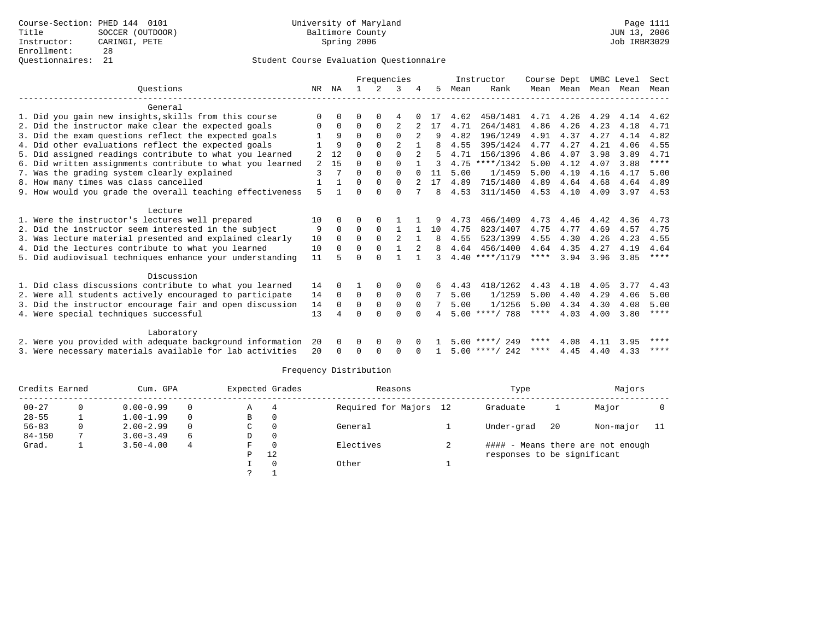|                                                           |          |              |          | Frequencies |                |              |     | Instructor |                  | Course Dept |           | UMBC Level |      | Sect        |
|-----------------------------------------------------------|----------|--------------|----------|-------------|----------------|--------------|-----|------------|------------------|-------------|-----------|------------|------|-------------|
| Ouestions                                                 | NR.      | ΝA           |          |             | 3              |              | 5   | Mean       | Rank             |             | Mean Mean | Mean       | Mean | Mean        |
| General                                                   |          |              |          |             |                |              |     |            |                  |             |           |            |      |             |
| 1. Did you gain new insights, skills from this course     | $\Omega$ | $\Omega$     | U        | $\Omega$    | 4              |              | -17 | 4.62       | 450/1481         | 4.71        | 4.26      | 4.29       | 4.14 | 4.62        |
| 2. Did the instructor make clear the expected goals       | 0        | $\mathbf 0$  | $\Omega$ | $\Omega$    | 2              |              | 17  | 4.71       | 264/1481         | 4.86        | 4.26      | 4.23       | 4.18 | 4.71        |
| 3. Did the exam questions reflect the expected goals      |          | 9            | $\Omega$ | $\Omega$    | $\Omega$       |              | 9   | 4.82       | 196/1249         | 4.91        | 4.37      | 4.27       | 4.14 | 4.82        |
| 4. Did other evaluations reflect the expected goals       |          | 9            | O        | $\Omega$    | $\mathfrak{D}$ |              |     | 4.55       | 395/1424         | 4.77        | 4.27      | 4.21       | 4.06 | 4.55        |
| 5. Did assigned readings contribute to what you learned   | 2        | 12           | $\Omega$ | $\Omega$    | $\Omega$       |              |     | 4.71       | 156/1396         | 4.86        | 4.07      | 3.98       | 3.89 | 4.71        |
| 6. Did written assignments contribute to what you learned | 2        | 15           | $\Omega$ | $\Omega$    | $\Omega$       |              |     |            | $4.75$ ****/1342 | 5.00        | 4.12      | 4.07       | 3.88 | $* * * * *$ |
| 7. Was the grading system clearly explained               | 3        | 7            | $\Omega$ | $\Omega$    | $\Omega$       | $\Omega$     | 11  | 5.00       | 1/1459           | 5.00        | 4.19      | 4.16       | 4.17 | 5.00        |
| 8. How many times was class cancelled                     |          | $\mathbf{1}$ | O        | $\Omega$    | $\Omega$       | 2            | 17  | 4.89       | 715/1480         | 4.89        | 4.64      | 4.68       | 4.64 | 4.89        |
| 9. How would you grade the overall teaching effectiveness |          |              |          | U           | $\cap$         |              | 8   | 4.53       | 311/1450         | 4.53        | 4.10      | 4.09       | 3.97 | 4.53        |
|                                                           | 5        |              |          |             |                |              |     |            |                  |             |           |            |      |             |
| Lecture                                                   |          |              |          |             |                |              |     |            |                  |             |           |            |      |             |
| 1. Were the instructor's lectures well prepared           | 10       | 0            | O        | $\Omega$    |                |              | 9   | 4.73       | 466/1409         | 4.73        | 4.46      | 4.42       | 4.36 | 4.73        |
| 2. Did the instructor seem interested in the subject      | 9        | $\Omega$     | $\Omega$ | $\Omega$    | 1              |              | 10  | 4.75       | 823/1407         | 4.75        | 4.77      | 4.69       | 4.57 | 4.75        |
| 3. Was lecture material presented and explained clearly   | 10       | $\Omega$     | $\Omega$ | $\mathbf 0$ | 2              | <sup>1</sup> | 8   | 4.55       | 523/1399         | 4.55        | 4.30      | 4.26       | 4.23 | 4.55        |
| 4. Did the lectures contribute to what you learned        | 10       | $\Omega$     | $\Omega$ | $\Omega$    | $\mathbf{1}$   | 2            | 8   | 4.64       | 456/1400         | 4.64        | 4.35      | 4.27       | 4.19 | 4.64        |
| 5. Did audiovisual techniques enhance your understanding  | 11       |              |          | $\cap$      |                |              | 3   |            | $4.40$ ****/1179 | ****        | 3.94      | 3.96       | 3.85 | ****        |
| Discussion                                                |          |              |          |             |                |              |     |            |                  |             |           |            |      |             |
| 1. Did class discussions contribute to what you learned   | 14       | 0            |          | $\Omega$    | $\Omega$       |              | б.  | 4.43       | 418/1262         | 4.43        | 4.18      | 4.05       | 3.77 | 4.43        |
| 2. Were all students actively encouraged to participate   | 14       | $\Omega$     | $\Omega$ | $\Omega$    | $\Omega$       | $\Omega$     | 7   | 5.00       | 1/1259           | 5.00        | 4.40      | 4.29       | 4.06 | 5.00        |
| 3. Did the instructor encourage fair and open discussion  | 14       | $\Omega$     | $\Omega$ | $\mathbf 0$ | $\mathbf 0$    | $\Omega$     |     | 5.00       | 1/1256           | 5.00        | 4.34      | 4.30       | 4.08 | 5.00        |
| 4. Were special techniques successful                     | 13       | 4            | U        | $\cap$      | $\Omega$       |              |     |            | $5.00$ ****/ 788 | ****        | 4.03      | 4.00       | 3.80 | $***$ * * * |
|                                                           |          |              |          |             |                |              |     |            |                  |             |           |            |      |             |
| Laboratory                                                |          |              |          |             |                |              |     |            |                  |             |           |            |      |             |
| 2. Were you provided with adequate background information | 20       | $\Omega$     | 0        | 0           | 0              |              |     |            | $5.00$ ****/ 249 | ****        | 4.08      | 4.11       | 3.95 | ****        |
| 3. Were necessary materials available for lab activities  | 20       | $\Omega$     | $\Omega$ | $\Omega$    | <sup>0</sup>   |              |     |            | $5.00$ ****/ 242 | ****        | 4.45      | 4.40       | 4.33 | ****        |
|                                                           |          |              |          |             |                |              |     |            |                  |             |           |            |      |             |

| Credits Earned |   | Cum. GPA      |          | Expected Grades | Reasons  |                     | Type |                                   |    |           |     |  |
|----------------|---|---------------|----------|-----------------|----------|---------------------|------|-----------------------------------|----|-----------|-----|--|
| $00 - 27$      |   | $0.00 - 0.99$ | 0        | Α               |          | Required for Majors | 12   | Graduate                          |    | Major     |     |  |
| $28 - 55$      |   | $1.00 - 1.99$ | $\Omega$ | В               |          |                     |      |                                   |    |           |     |  |
| $56 - 83$      | 0 | $2.00 - 2.99$ | $\Omega$ | C               |          | General             |      | Under-grad                        | 20 | Non-major | -11 |  |
| $84 - 150$     |   | $3.00 - 3.49$ | 6        | D               | $\Omega$ |                     |      |                                   |    |           |     |  |
| Grad.          |   | $3.50 - 4.00$ | 4        | F               |          | Electives           | ∠    | #### - Means there are not enough |    |           |     |  |
|                |   |               |          | P               | 12       |                     |      | responses to be significant       |    |           |     |  |
|                |   |               |          |                 |          | Other               |      |                                   |    |           |     |  |
|                |   |               |          | $\mathcal{P}$   |          |                     |      |                                   |    |           |     |  |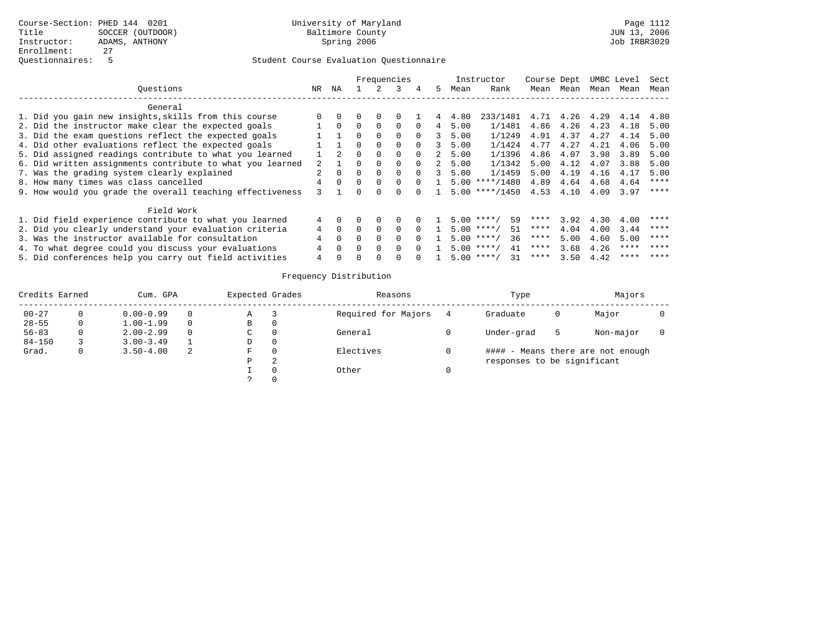|                                                           |    |          |          | Frequencies |          |          |             | Instructor | Course Dept        |      |           | UMBC Level | Sect |      |
|-----------------------------------------------------------|----|----------|----------|-------------|----------|----------|-------------|------------|--------------------|------|-----------|------------|------|------|
| Ouestions                                                 | NR | ΝA       |          | 2           | २        | 4        | 5.          | Mean       | Rank               |      | Mean Mean | Mean       | Mean | Mean |
| General                                                   |    |          |          |             |          |          |             |            |                    |      |           |            |      |      |
| 1. Did you gain new insights, skills from this course     |    | $\Omega$ | $\Omega$ | $\Omega$    |          |          |             | 4.80       | 233/1481           | 4.71 | 4.26      | 4.29       | 4.14 | 4.80 |
| 2. Did the instructor make clear the expected goals       |    | $\Omega$ | 0        | $\Omega$    | $\Omega$ | $\Omega$ | 4           | 5.00       | 1/1481             | 4.86 | 4.26      | 4.23       | 4.18 | 5.00 |
| 3. Did the exam questions reflect the expected goals      |    |          | 0        | $\Omega$    | $\Omega$ | $\Omega$ | 3.          | 5.00       | 1/1249             | 4.91 | 4.37      | 4.27       | 4.14 | 5.00 |
| 4. Did other evaluations reflect the expected goals       |    |          | 0        | $\Omega$    | 0        | $\Omega$ | 3           | 5.00       | 1/1424             | 4.77 | 4.27      | 4.21       | 4.06 | 5.00 |
| 5. Did assigned readings contribute to what you learned   |    | 2        | $\Omega$ | $\Omega$    | $\Omega$ | $\Omega$ | $2^{\circ}$ | 5.00       | 1/1396             | 4.86 | 4.07      | 3.98       | 3.89 | 5.00 |
| 6. Did written assignments contribute to what you learned |    |          |          | $\Omega$    | 0        | $\Omega$ | $2^{\circ}$ | 5.00       | 1/1342             | 5.00 | 4.12      | 4.07       | 3.88 | 5.00 |
| 7. Was the grading system clearly explained               |    |          | $\Omega$ | $\Omega$    | $\Omega$ | $\cap$   | 3           | 5.00       | 1/1459             | 5.00 | 4.19      | 4.16       | 4.17 | 5.00 |
| 8. How many times was class cancelled                     |    | $\Omega$ | $\Omega$ | $\Omega$    | $\Omega$ | $\cap$   |             |            | $5.00$ ****/1480   | 4.89 | 4.64      | 4.68       | 4.64 | **** |
| 9. How would you grade the overall teaching effectiveness |    |          |          |             |          |          |             |            | $5.00$ ****/1450   | 4.53 | 4.10      | 4.09       | 3.97 | **** |
| Field Work                                                |    |          |          |             |          |          |             |            |                    |      |           |            |      |      |
| 1. Did field experience contribute to what you learned    | 4  |          |          | $\Omega$    | 0        |          |             |            | 59<br>$5.00$ ****/ | **** | 3.92      | 4.30       | 4.00 | **** |
| 2. Did you clearly understand your evaluation criteria    |    | $\Omega$ |          | $\Omega$    | 0        |          |             |            | $5.00$ ****/<br>51 | **** | 4.04      | 4.00       | 3.44 | **** |
| 3. Was the instructor available for consultation          | 4  | $\Omega$ |          |             |          |          |             |            | 36<br>$5.00$ ****/ | **** | 5.00      | 4.60       | 5.00 | **** |
| 4. To what degree could you discuss your evaluations      |    | $\cap$   | $\cap$   | $\Omega$    | $\Omega$ | $\cap$   |             |            | 41<br>$5.00$ ****/ | **** | 3.68      | 4.26       | **** | **** |
| 5. Did conferences help you carry out field activities    | 4  |          |          |             |          |          |             |            | $5.00$ ****/ 31    | **** | 3.50      | 4.42       | **** | **** |

| Credits Earned |   | Cum. GPA      |   |   | Expected Grades | Reasons             | Type                              |   | Majors    |  |  |
|----------------|---|---------------|---|---|-----------------|---------------------|-----------------------------------|---|-----------|--|--|
| $00 - 27$      |   | $0.00 - 0.99$ |   | Α |                 | Required for Majors | Graduate                          | 0 | Major     |  |  |
| $28 - 55$      |   | $1.00 - 1.99$ |   | B | $\Omega$        |                     |                                   |   |           |  |  |
| $56 - 83$      |   | $2.00 - 2.99$ |   | C | $\Omega$        | General             | Under-grad                        |   | Non-major |  |  |
| $84 - 150$     |   | $3.00 - 3.49$ |   | D | $\Omega$        |                     |                                   |   |           |  |  |
| Grad.          | 0 | $3.50 - 4.00$ | 2 | F | $\Omega$        | Electives           | #### - Means there are not enough |   |           |  |  |
|                |   |               |   | Ρ | 2               |                     | responses to be significant       |   |           |  |  |
|                |   |               |   |   |                 | Other               |                                   |   |           |  |  |
|                |   |               |   |   |                 |                     |                                   |   |           |  |  |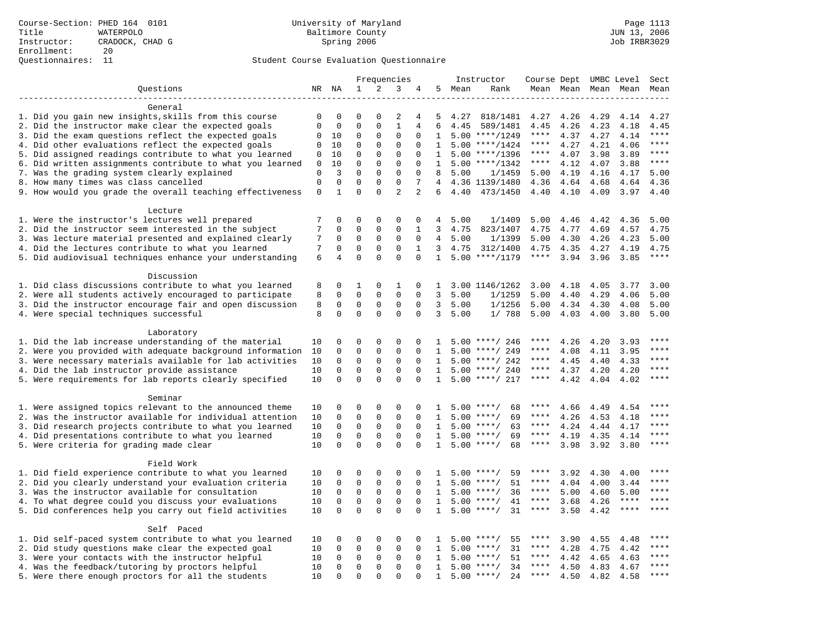|                                                                                                                    |                            |                            | Frequencies                 |                            |                             | Instructor              |                              | Course Dept UMBC Level |                               |                          |              | Sect         |                     |                |
|--------------------------------------------------------------------------------------------------------------------|----------------------------|----------------------------|-----------------------------|----------------------------|-----------------------------|-------------------------|------------------------------|------------------------|-------------------------------|--------------------------|--------------|--------------|---------------------|----------------|
| Questions                                                                                                          |                            | NR NA                      | 1                           | 2                          | 3                           | 4                       | 5                            | Mean                   | Rank                          |                          |              |              | Mean Mean Mean Mean | Mean           |
|                                                                                                                    |                            |                            |                             |                            |                             |                         |                              |                        |                               |                          |              |              |                     |                |
| General                                                                                                            |                            |                            |                             |                            |                             |                         |                              |                        |                               |                          |              |              |                     |                |
| 1. Did you gain new insights, skills from this course                                                              | $\mathbf 0$                | 0                          | $\mathbf 0$                 | $\Omega$                   | 2                           | 4                       | 5                            | 4.27                   | 818/1481                      | 4.27                     | 4.26         | 4.29         | 4.14                | 4.27           |
| 2. Did the instructor make clear the expected goals                                                                | $\mathbf 0$                | 0                          | $\mathbf{0}$                | $\mathbf 0$                | $\mathbf{1}$                | 4                       | 6                            | 4.45                   | 589/1481                      | 4.45                     | 4.26         | 4.23         | 4.18                | 4.45           |
| 3. Did the exam questions reflect the expected goals                                                               | 0                          | 10                         | $\mathbf 0$                 | $\Omega$                   | $\Omega$                    | $\Omega$                | $\mathbf{1}$                 |                        | $5.00$ ****/1249              | $***$ * * *              | 4.37         | 4.27         | 4.14                | $***$          |
| 4. Did other evaluations reflect the expected goals                                                                | $\mathbf 0$                | 10                         | $\mathbf 0$                 | $\mathbf 0$                | $\mathsf 0$                 | $\mathbf 0$             | 1                            |                        | $5.00$ ****/1424              | ****                     | 4.27         | 4.21         | 4.06                | $***$<br>$***$ |
| 5. Did assigned readings contribute to what you learned                                                            | $\mathsf 0$                | 10                         | $\mathsf 0$                 | $\mathbf 0$                | $\mathsf 0$                 | $\mathbf 0$             | 1                            |                        | $5.00$ ****/1396              | $***$ * *                | 4.07         | 3.98         | 3.89                | $***$          |
| 6. Did written assignments contribute to what you learned                                                          | 0                          | 10<br>3                    | $\mathbf 0$<br>$\mathbf{0}$ | $\mathbf 0$<br>$\mathbf 0$ | $\mathsf 0$<br>$\mathbf{0}$ | $\mathbf 0$<br>$\Omega$ | 1                            |                        | $5.00$ ****/1342              | ****                     | 4.12         | 4.07         | 3.88                |                |
| 7. Was the grading system clearly explained<br>8. How many times was class cancelled                               | $\mathbf 0$<br>$\mathbf 0$ | $\Omega$                   | $\Omega$                    | $\Omega$                   | $\Omega$                    | 7                       | 8<br>4                       | 5.00                   | 1/1459<br>4.36 1139/1480      | 5.00<br>4.36             | 4.19<br>4.64 | 4.16<br>4.68 | 4.17<br>4.64        | 5.00<br>4.36   |
| 9. How would you grade the overall teaching effectiveness                                                          | $\mathbf 0$                | $\mathbf{1}$               | $\Omega$                    | $\Omega$                   | $\overline{a}$              | $\overline{a}$          | 6                            | 4.40                   | 473/1450                      | 4.40                     | 4.10         | 4.09         | 3.97                | 4.40           |
|                                                                                                                    |                            |                            |                             |                            |                             |                         |                              |                        |                               |                          |              |              |                     |                |
| Lecture                                                                                                            |                            |                            |                             |                            |                             |                         |                              |                        |                               |                          |              |              |                     |                |
| 1. Were the instructor's lectures well prepared                                                                    | 7                          | $\mathbf 0$                | $\mathbf{0}$                | $\mathbf 0$                | 0                           | 0                       | 4                            | 5.00                   | 1/1409                        | 5.00                     | 4.46         | 4.42         | 4.36                | 5.00           |
| 2. Did the instructor seem interested in the subject                                                               | 7                          | 0                          | $\mathbf{0}$                | $\mathbf 0$                | $\mathbf{0}$                | 1                       | 3                            | 4.75                   | 823/1407                      | 4.75                     | 4.77         | 4.69         | 4.57                | 4.75           |
| 3. Was lecture material presented and explained clearly                                                            | 7                          | 0                          | $\mathbf 0$                 | 0                          | $\mathbf 0$                 | $\mathbf 0$             | 4                            | 5.00                   | 1/1399                        | 5.00                     | 4.30         | 4.26         | 4.23                | 5.00           |
| 4. Did the lectures contribute to what you learned                                                                 | 7                          | $\mathbf 0$                | $\mathbf{0}$                | $\mathbf 0$                | $\mathbf{0}$                | $\mathbf{1}$            | 3                            | 4.75                   | 312/1400                      | 4.75                     | 4.35         | 4.27         | 4.19                | 4.75           |
| 5. Did audiovisual techniques enhance your understanding                                                           | 6                          | $\overline{4}$             | $\Omega$                    | $\Omega$                   | $\Omega$                    | $\Omega$                | $\mathbf{1}$                 |                        | $5.00$ ****/1179              | $***$ * * *              | 3.94         | 3.96         | 3.85                | ****           |
|                                                                                                                    |                            |                            |                             |                            |                             |                         |                              |                        |                               |                          |              |              |                     |                |
| Discussion                                                                                                         |                            |                            |                             |                            |                             |                         |                              |                        |                               |                          |              |              |                     |                |
| 1. Did class discussions contribute to what you learned                                                            | 8                          | 0                          | 1                           | $\mathbf 0$                | 1                           | 0                       | 1                            |                        | 3.00 1146/1262                | 3.00                     | 4.18         | 4.05         | 3.77                | 3.00           |
| 2. Were all students actively encouraged to participate                                                            | 8                          | 0                          | $\mathbf{0}$                | $\mathbf 0$                | $\mathbf{0}$                | $\Omega$                | 3                            | 5.00                   | 1/1259                        | 5.00                     | 4.40         | 4.29         | 4.06                | 5.00           |
| 3. Did the instructor encourage fair and open discussion                                                           | 8                          | $\mathbf 0$                | $\mathbf 0$                 | $\mathsf 0$                | $\mathbf 0$                 | $\mathbf 0$             | 3                            | 5.00                   | 1/1256                        | 5.00                     | 4.34         | 4.30         | 4.08                | 5.00           |
| 4. Were special techniques successful                                                                              | 8                          | $\Omega$                   | $\Omega$                    | $\Omega$                   | $\Omega$                    | $\Omega$                | 3                            | 5.00                   | 1/ 788                        | 5.00                     | 4.03         | 4.00         | 3.80                | 5.00           |
|                                                                                                                    |                            |                            |                             |                            |                             |                         |                              |                        |                               |                          |              |              |                     |                |
| Laboratory                                                                                                         |                            | $\mathbf 0$                | $\mathbf{0}$                | $\mathbf 0$                | $\mathbf{0}$                | 0                       |                              |                        |                               | ****                     | 4.26         |              |                     | ****           |
| 1. Did the lab increase understanding of the material<br>2. Were you provided with adequate background information | 10<br>10                   | $\mathbf 0$                | $\mathbf 0$                 | $\mathsf 0$                | $\mathsf 0$                 | 0                       | 1<br>1                       | 5.00                   | $5.00$ ****/ 246<br>****/ 249 | ****                     | 4.08         | 4.20<br>4.11 | 3.93<br>3.95        | ****           |
| 3. Were necessary materials available for lab activities                                                           | 10                         | 0                          | $\mathbf 0$                 | 0                          | $\mathsf 0$                 | 0                       | 1                            |                        | $5.00$ ****/ 242              | $***$ * * *              | 4.45         | 4.40         | 4.33                | $***$          |
| 4. Did the lab instructor provide assistance                                                                       | 10                         | $\Omega$                   | $\mathbf{0}$                | $\Omega$                   | $\mathbf{0}$                | $\Omega$                | $\mathbf{1}$                 |                        | $5.00$ ****/ 240              | $***$ * * *              | 4.37         | 4.20         | 4.20                | ****           |
| 5. Were requirements for lab reports clearly specified                                                             | 10                         | $\Omega$                   | $\Omega$                    | $\Omega$                   | $\Omega$                    | $\Omega$                | $\mathbf{1}$                 |                        | $5.00$ ****/ 217              | $***$ * * *              | 4.42         | 4.04         | 4.02                | ****           |
|                                                                                                                    |                            |                            |                             |                            |                             |                         |                              |                        |                               |                          |              |              |                     |                |
| Seminar                                                                                                            |                            |                            |                             |                            |                             |                         |                              |                        |                               |                          |              |              |                     |                |
| 1. Were assigned topics relevant to the announced theme                                                            | 10                         | 0                          | $\mathbf{0}$                | $\mathbf 0$                | 0                           | $\Omega$                | 1                            |                        | $5.00$ ****/<br>68            | ****                     | 4.66         | 4.49         | 4.54                | $***$          |
| 2. Was the instructor available for individual attention                                                           | 10                         | $\mathbf 0$                | $\mathbf 0$                 | $\mathsf{O}\xspace$        | $\mathbf 0$                 | $\mathbf 0$             | 1                            |                        | $5.00$ ****/<br>69            | ****                     | 4.26         | 4.53         | 4.18                | ****           |
| 3. Did research projects contribute to what you learned                                                            | 10                         | $\mathbf 0$                | $\mathbf 0$                 | $\mathsf 0$                | $\mathsf 0$                 | $\mathbf 0$             | 1                            |                        | $5.00$ ****/<br>63            | ****                     | 4.24         | 4.44         | 4.17                | ****           |
| 4. Did presentations contribute to what you learned                                                                | 10                         | $\mathbf 0$                | $\mathbf 0$                 | $\mathbf 0$                | $\mathbf 0$                 | $\Omega$                | 1                            |                        | $5.00$ ****/<br>69            | $***$ * *                | 4.19         | 4.35         | 4.14                | $***$          |
| 5. Were criteria for grading made clear                                                                            | 10                         | $\Omega$                   | $\Omega$                    | $\Omega$                   | $\Omega$                    | $\Omega$                | $\mathbf{1}$                 |                        | $5.00$ ****/<br>68            | ****                     | 3.98         | 3.92         | 3.80                | ****           |
|                                                                                                                    |                            |                            |                             |                            |                             |                         |                              |                        |                               |                          |              |              |                     |                |
| Field Work                                                                                                         |                            |                            |                             |                            |                             |                         |                              |                        |                               |                          |              |              |                     | $***$ * * *    |
| 1. Did field experience contribute to what you learned                                                             | 10                         | $\mathbf 0$                | $\mathbf 0$                 | $\mathsf 0$                | $\mathsf 0$                 | $\mathbf 0$             | 1                            |                        | $5.00$ ****/<br>59            | ****                     | 3.92         | 4.30         | 4.00                | ****           |
| 2. Did you clearly understand your evaluation criteria                                                             | 10                         | $\mathbf 0$                | $\mathbf 0$                 | $\mathbf 0$                | 0                           | $\Omega$                | 1                            | 5.00                   | $***$ /<br>51                 | ****                     | 4.04         | 4.00         | 3.44                | ****           |
| 3. Was the instructor available for consultation                                                                   | 10                         | $\mathbf 0$<br>$\mathbf 0$ | $\mathbf 0$<br>$\mathbf 0$  | $\mathbf 0$<br>$\mathbf 0$ | $\mathbf 0$<br>$\mathbf{0}$ | 0                       | 1                            |                        | $5.00$ ****/<br>36<br>$***/$  | $***$ * * *<br>$***$ * * | 5.00         | 4.60         | 5.00<br>****        | ****           |
| 4. To what degree could you discuss your evaluations                                                               | 10<br>10                   | $\Omega$                   | $\Omega$                    | $\Omega$                   | $\Omega$                    | $\mathbf 0$<br>$\Omega$ | $\mathbf{1}$<br>$\mathbf{1}$ | 5.00                   | 41<br>$5.00$ ****/<br>31      | $***$ * *                | 3.68<br>3.50 | 4.26<br>4.42 | $***$ * * *         | $***$ * * *    |
| 5. Did conferences help you carry out field activities                                                             |                            |                            |                             |                            |                             |                         |                              |                        |                               |                          |              |              |                     |                |
| Self Paced                                                                                                         |                            |                            |                             |                            |                             |                         |                              |                        |                               |                          |              |              |                     |                |
| 1. Did self-paced system contribute to what you learned                                                            | 10                         | 0                          | $\mathbf 0$                 | $\mathbf 0$                | $\mathbf{0}$                | $\mathbf 0$             | 1                            |                        | $5.00$ ****/<br>55            | ****                     | 3.90         | 4.55         | 4.48                | $***$ * * *    |
| 2. Did study questions make clear the expected goal                                                                | 10                         | 0                          | $\mathbf 0$                 | $\mathbf 0$                | $\mathsf 0$                 | $\mathbf 0$             | 1                            | 5.00                   | 31<br>$***/$                  | ****                     | 4.28         | 4.75         | 4.42                | ****           |
| 3. Were your contacts with the instructor helpful                                                                  | 10                         | 0                          | 0                           | 0                          | 0                           | $\Omega$                | 1                            | 5.00                   | $***$ /<br>51                 | $***$ * *                | 4.42         | 4.65         | 4.63                | ****           |
| 4. Was the feedback/tutoring by proctors helpful                                                                   | 10                         | 0                          | $\mathbf 0$                 | $\mathbf 0$                | $\mathbf{0}$                | $\Omega$                | $\mathbf{1}$                 |                        | $5.00$ ****/<br>34            | ****                     | 4.50         | 4.83         | 4.67                | $***$          |
| 5. Were there enough proctors for all the students                                                                 | 10                         | $\Omega$                   | $\Omega$                    | $\Omega$                   | $\Omega$                    | $\Omega$                | 1                            |                        | $5.00$ ****/<br>24            | $***$ * *                | 4.50         | 4.82         | 4.58                | $***$          |
|                                                                                                                    |                            |                            |                             |                            |                             |                         |                              |                        |                               |                          |              |              |                     |                |